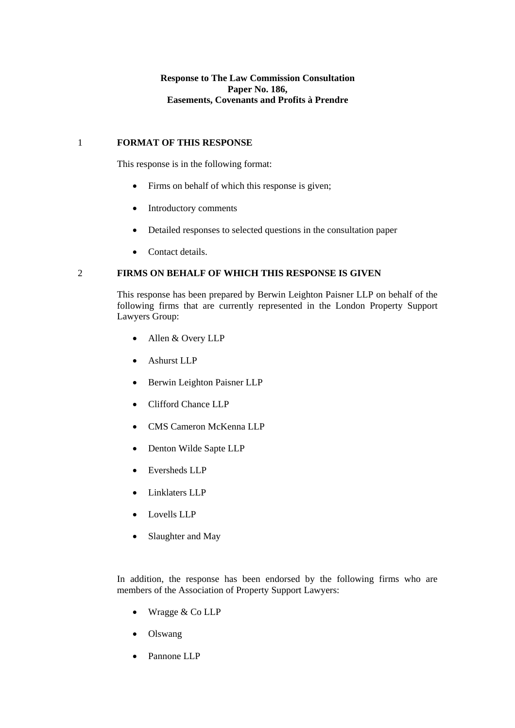**Response to The Law Commission Consultation Paper No. 186, Easements, Covenants and Profits à Prendre** 

### 1 **FORMAT OF THIS RESPONSE**

This response is in the following format:

- Firms on behalf of which this response is given;
- Introductory comments
- Detailed responses to selected questions in the consultation paper
- Contact details.

# 2 **FIRMS ON BEHALF OF WHICH THIS RESPONSE IS GIVEN**

This response has been prepared by Berwin Leighton Paisner LLP on behalf of the following firms that are currently represented in the London Property Support Lawyers Group:

- Allen & Overy LLP
- Ashurst LLP
- Berwin Leighton Paisner LLP
- Clifford Chance LLP
- CMS Cameron McKenna LLP
- Denton Wilde Sapte LLP
- Eversheds LLP
- Linklaters LLP
- Lovells LLP
- Slaughter and May

In addition, the response has been endorsed by the following firms who are members of the Association of Property Support Lawyers:

- Wragge & Co LLP
- Olswang
- Pannone LLP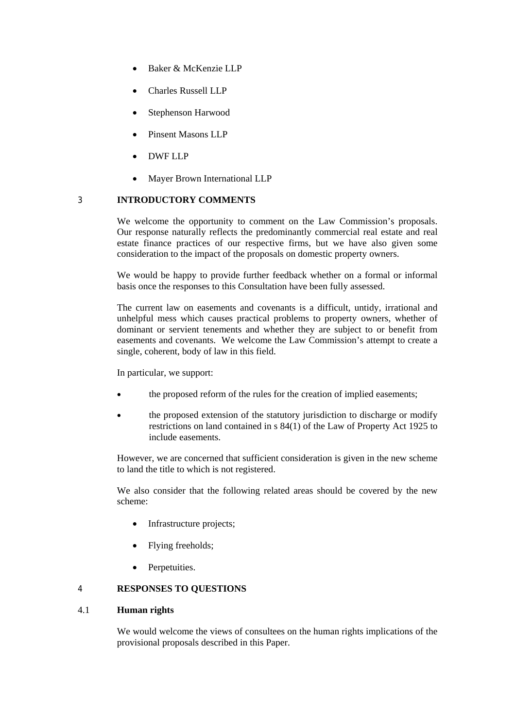- Baker & McKenzie LLP
- Charles Russell LLP
- Stephenson Harwood
- Pinsent Masons LLP
- DWF LLP
- Mayer Brown International LLP

# 3 **INTRODUCTORY COMMENTS**

We welcome the opportunity to comment on the Law Commission's proposals. Our response naturally reflects the predominantly commercial real estate and real estate finance practices of our respective firms, but we have also given some consideration to the impact of the proposals on domestic property owners.

We would be happy to provide further feedback whether on a formal or informal basis once the responses to this Consultation have been fully assessed.

The current law on easements and covenants is a difficult, untidy, irrational and unhelpful mess which causes practical problems to property owners, whether of dominant or servient tenements and whether they are subject to or benefit from easements and covenants. We welcome the Law Commission's attempt to create a single, coherent, body of law in this field.

In particular, we support:

- the proposed reform of the rules for the creation of implied easements;
- the proposed extension of the statutory jurisdiction to discharge or modify restrictions on land contained in s 84(1) of the Law of Property Act 1925 to include easements.

However, we are concerned that sufficient consideration is given in the new scheme to land the title to which is not registered.

We also consider that the following related areas should be covered by the new scheme:

- Infrastructure projects;
- Flying freeholds;
- Perpetuities.

## 4 **RESPONSES TO QUESTIONS**

# 4.1 **Human rights**

We would welcome the views of consultees on the human rights implications of the provisional proposals described in this Paper.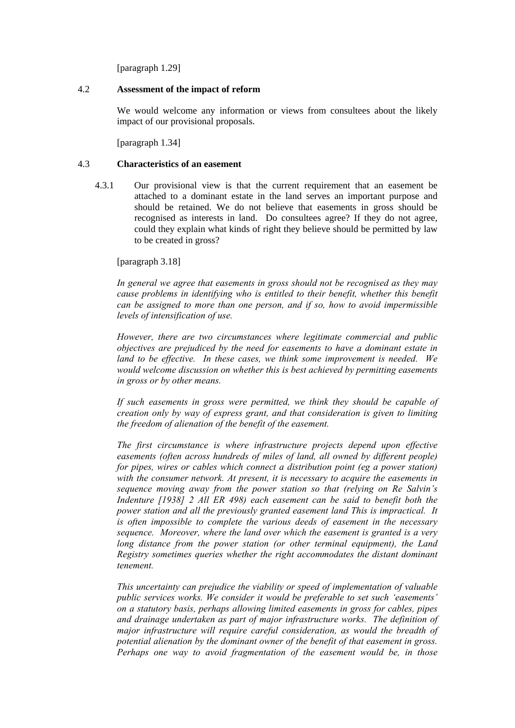[paragraph 1.29]

### 4.2 **Assessment of the impact of reform**

We would welcome any information or views from consultees about the likely impact of our provisional proposals.

[paragraph 1.34]

### 4.3 **Characteristics of an easement**

4.3.1 Our provisional view is that the current requirement that an easement be attached to a dominant estate in the land serves an important purpose and should be retained. We do not believe that easements in gross should be recognised as interests in land. Do consultees agree? If they do not agree, could they explain what kinds of right they believe should be permitted by law to be created in gross?

[paragraph 3.18]

*In general we agree that easements in gross should not be recognised as they may cause problems in identifying who is entitled to their benefit, whether this benefit can be assigned to more than one person, and if so, how to avoid impermissible levels of intensification of use.* 

*However, there are two circumstances where legitimate commercial and public objectives are prejudiced by the need for easements to have a dominant estate in land to be effective. In these cases, we think some improvement is needed. We would welcome discussion on whether this is best achieved by permitting easements in gross or by other means.* 

*If such easements in gross were permitted, we think they should be capable of creation only by way of express grant, and that consideration is given to limiting the freedom of alienation of the benefit of the easement.* 

*The first circumstance is where infrastructure projects depend upon effective easements (often across hundreds of miles of land, all owned by different people) for pipes, wires or cables which connect a distribution point (eg a power station) with the consumer network. At present, it is necessary to acquire the easements in sequence moving away from the power station so that (relying on Re Salvin's Indenture [1938] 2 All ER 498) each easement can be said to benefit both the power station and all the previously granted easement land This is impractical. It is often impossible to complete the various deeds of easement in the necessary sequence. Moreover, where the land over which the easement is granted is a very long distance from the power station (or other terminal equipment), the Land Registry sometimes queries whether the right accommodates the distant dominant tenement.* 

*This uncertainty can prejudice the viability or speed of implementation of valuable public services works. We consider it would be preferable to set such 'easements' on a statutory basis, perhaps allowing limited easements in gross for cables, pipes and drainage undertaken as part of major infrastructure works. The definition of major infrastructure will require careful consideration, as would the breadth of potential alienation by the dominant owner of the benefit of that easement in gross. Perhaps one way to avoid fragmentation of the easement would be, in those*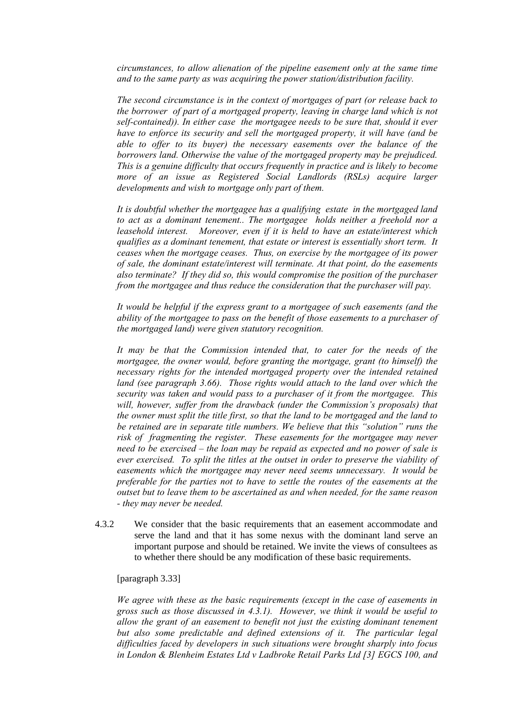*circumstances, to allow alienation of the pipeline easement only at the same time and to the same party as was acquiring the power station/distribution facility.* 

*The second circumstance is in the context of mortgages of part (or release back to the borrower of part of a mortgaged property, leaving in charge land which is not self-contained)). In either case the mortgagee needs to be sure that, should it ever have to enforce its security and sell the mortgaged property, it will have (and be able to offer to its buyer) the necessary easements over the balance of the borrowers land. Otherwise the value of the mortgaged property may be prejudiced. This is a genuine difficulty that occurs frequently in practice and is likely to become more of an issue as Registered Social Landlords (RSLs) acquire larger developments and wish to mortgage only part of them.* 

*It is doubtful whether the mortgagee has a qualifying estate in the mortgaged land to act as a dominant tenement.. The mortgagee holds neither a freehold nor a leasehold interest. Moreover, even if it is held to have an estate/interest which qualifies as a dominant tenement, that estate or interest is essentially short term. It ceases when the mortgage ceases. Thus, on exercise by the mortgagee of its power of sale, the dominant estate/interest will terminate. At that point, do the easements also terminate? If they did so, this would compromise the position of the purchaser from the mortgagee and thus reduce the consideration that the purchaser will pay.* 

*It would be helpful if the express grant to a mortgagee of such easements (and the ability of the mortgagee to pass on the benefit of those easements to a purchaser of the mortgaged land) were given statutory recognition.* 

*It may be that the Commission intended that, to cater for the needs of the mortgagee, the owner would, before granting the mortgage, grant (to himself) the necessary rights for the intended mortgaged property over the intended retained land (see paragraph 3.66). Those rights would attach to the land over which the security was taken and would pass to a purchaser of it from the mortgagee. This will, however, suffer from the drawback (under the Commission's proposals) that the owner must split the title first, so that the land to be mortgaged and the land to be retained are in separate title numbers. We believe that this "solution" runs the risk of fragmenting the register. These easements for the mortgagee may never need to be exercised – the loan may be repaid as expected and no power of sale is ever exercised. To split the titles at the outset in order to preserve the viability of easements which the mortgagee may never need seems unnecessary. It would be preferable for the parties not to have to settle the routes of the easements at the outset but to leave them to be ascertained as and when needed, for the same reason - they may never be needed.* 

4.3.2 We consider that the basic requirements that an easement accommodate and serve the land and that it has some nexus with the dominant land serve an important purpose and should be retained. We invite the views of consultees as to whether there should be any modification of these basic requirements.

[paragraph 3.33]

*We agree with these as the basic requirements (except in the case of easements in gross such as those discussed in 4.3.1). However, we think it would be useful to allow the grant of an easement to benefit not just the existing dominant tenement but also some predictable and defined extensions of it. The particular legal difficulties faced by developers in such situations were brought sharply into focus in London & Blenheim Estates Ltd v Ladbroke Retail Parks Ltd [3] EGCS 100, and*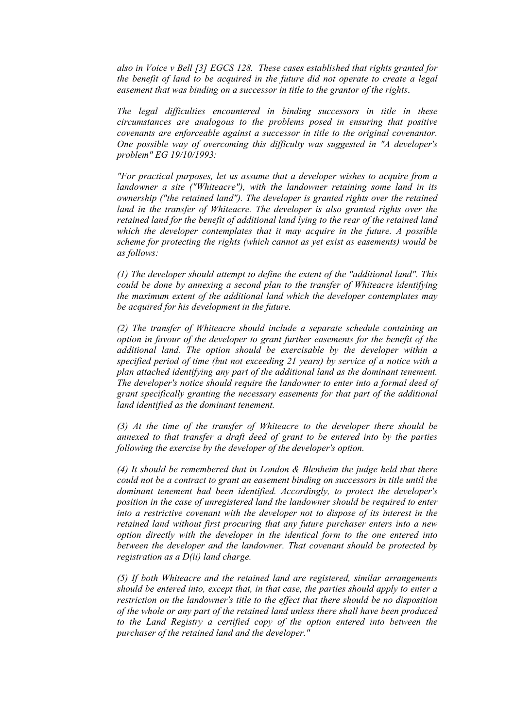*also in Voice v Bell [3] EGCS 128. These cases established that rights granted for the benefit of land to be acquired in the future did not operate to create a legal easement that was binding on a successor in title to the grantor of the rights*.

*The legal difficulties encountered in binding successors in title in these circumstances are analogous to the problems posed in ensuring that positive covenants are enforceable against a successor in title to the original covenantor. One possible way of overcoming this difficulty was suggested in "A developer's problem" EG 19/10/1993:* 

*"For practical purposes, let us assume that a developer wishes to acquire from a landowner a site ("Whiteacre"), with the landowner retaining some land in its ownership ("the retained land"). The developer is granted rights over the retained*  land in the transfer of Whiteacre. The developer is also granted rights over the *retained land for the benefit of additional land lying to the rear of the retained land which the developer contemplates that it may acquire in the future. A possible scheme for protecting the rights (which cannot as yet exist as easements) would be as follows:* 

*(1) The developer should attempt to define the extent of the "additional land". This could be done by annexing a second plan to the transfer of Whiteacre identifying the maximum extent of the additional land which the developer contemplates may be acquired for his development in the future.* 

*(2) The transfer of Whiteacre should include a separate schedule containing an option in favour of the developer to grant further easements for the benefit of the additional land. The option should be exercisable by the developer within a specified period of time (but not exceeding 21 years) by service of a notice with a plan attached identifying any part of the additional land as the dominant tenement. The developer's notice should require the landowner to enter into a formal deed of grant specifically granting the necessary easements for that part of the additional land identified as the dominant tenement.* 

*(3) At the time of the transfer of Whiteacre to the developer there should be annexed to that transfer a draft deed of grant to be entered into by the parties following the exercise by the developer of the developer's option.* 

*(4) It should be remembered that in London & Blenheim the judge held that there could not be a contract to grant an easement binding on successors in title until the dominant tenement had been identified. Accordingly, to protect the developer's position in the case of unregistered land the landowner should be required to enter into a restrictive covenant with the developer not to dispose of its interest in the retained land without first procuring that any future purchaser enters into a new option directly with the developer in the identical form to the one entered into between the developer and the landowner. That covenant should be protected by registration as a D(ii) land charge.* 

*(5) If both Whiteacre and the retained land are registered, similar arrangements should be entered into, except that, in that case, the parties should apply to enter a restriction on the landowner's title to the effect that there should be no disposition of the whole or any part of the retained land unless there shall have been produced*  to the Land Registry a certified copy of the option entered into between the *purchaser of the retained land and the developer."*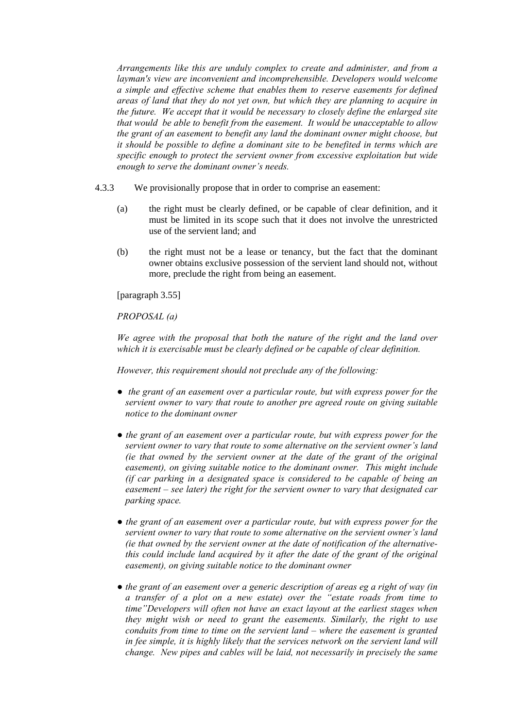*Arrangements like this are unduly complex to create and administer, and from a layman's view are inconvenient and incomprehensible. Developers would welcome a simple and effective scheme that enables them to reserve easements for defined areas of land that they do not yet own, but which they are planning to acquire in the future. We accept that it would be necessary to closely define the enlarged site that would be able to benefit from the easement. It would be unacceptable to allow the grant of an easement to benefit any land the dominant owner might choose, but it should be possible to define a dominant site to be benefited in terms which are specific enough to protect the servient owner from excessive exploitation but wide enough to serve the dominant owner's needs.* 

- 4.3.3 We provisionally propose that in order to comprise an easement:
	- (a) the right must be clearly defined, or be capable of clear definition, and it must be limited in its scope such that it does not involve the unrestricted use of the servient land; and
	- (b) the right must not be a lease or tenancy, but the fact that the dominant owner obtains exclusive possession of the servient land should not, without more, preclude the right from being an easement.

[paragraph 3.55]

*PROPOSAL (a)* 

*We agree with the proposal that both the nature of the right and the land over which it is exercisable must be clearly defined or be capable of clear definition.* 

*However, this requirement should not preclude any of the following:* 

- *● the grant of an easement over a particular route, but with express power for the servient owner to vary that route to another pre agreed route on giving suitable notice to the dominant owner*
- *● the grant of an easement over a particular route, but with express power for the servient owner to vary that route to some alternative on the servient owner's land (ie that owned by the servient owner at the date of the grant of the original easement), on giving suitable notice to the dominant owner. This might include (if car parking in a designated space is considered to be capable of being an easement – see later) the right for the servient owner to vary that designated car parking space.*
- *● the grant of an easement over a particular route, but with express power for the servient owner to vary that route to some alternative on the servient owner's land (ie that owned by the servient owner at the date of notification of the alternativethis could include land acquired by it after the date of the grant of the original easement), on giving suitable notice to the dominant owner*
- *● the grant of an easement over a generic description of areas eg a right of way (in a transfer of a plot on a new estate) over the "estate roads from time to time"Developers will often not have an exact layout at the earliest stages when they might wish or need to grant the easements. Similarly, the right to use conduits from time to time on the servient land – where the easement is granted*  in fee simple, it is highly likely that the services network on the servient land will *change. New pipes and cables will be laid, not necessarily in precisely the same*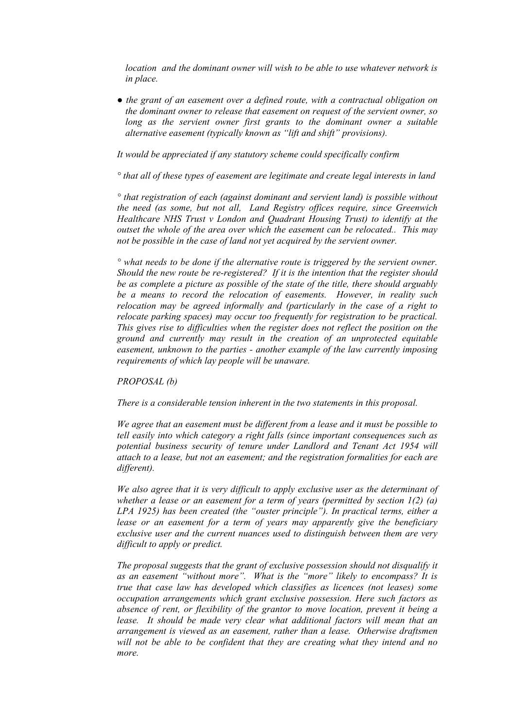*location and the dominant owner will wish to be able to use whatever network is in place.* 

*● the grant of an easement over a defined route, with a contractual obligation on the dominant owner to release that easement on request of the servient owner, so*  long as the servient owner first grants to the dominant owner a suitable *alternative easement (typically known as "lift and shift" provisions).* 

*It would be appreciated if any statutory scheme could specifically confirm* 

*° that all of these types of easement are legitimate and create legal interests in land* 

*° that registration of each (against dominant and servient land) is possible without the need (as some, but not all, Land Registry offices require, since Greenwich Healthcare NHS Trust v London and Quadrant Housing Trust) to identify at the outset the whole of the area over which the easement can be relocated.. This may not be possible in the case of land not yet acquired by the servient owner.* 

*° what needs to be done if the alternative route is triggered by the servient owner. Should the new route be re-registered? If it is the intention that the register should be as complete a picture as possible of the state of the title, there should arguably be a means to record the relocation of easements. However, in reality such relocation may be agreed informally and (particularly in the case of a right to relocate parking spaces) may occur too frequently for registration to be practical. This gives rise to difficulties when the register does not reflect the position on the ground and currently may result in the creation of an unprotected equitable easement, unknown to the parties - another example of the law currently imposing requirements of which lay people will be unaware.* 

*PROPOSAL (b)* 

*There is a considerable tension inherent in the two statements in this proposal.* 

*We agree that an easement must be different from a lease and it must be possible to tell easily into which category a right falls (since important consequences such as potential business security of tenure under Landlord and Tenant Act 1954 will attach to a lease, but not an easement; and the registration formalities for each are different).* 

*We also agree that it is very difficult to apply exclusive user as the determinant of whether a lease or an easement for a term of years (permitted by section 1(2) (a) LPA 1925) has been created (the "ouster principle"). In practical terms, either a*  lease or an easement for a term of years may apparently give the beneficiary *exclusive user and the current nuances used to distinguish between them are very difficult to apply or predict.* 

*The proposal suggests that the grant of exclusive possession should not disqualify it as an easement "without more". What is the "more" likely to encompass? It is true that case law has developed which classifies as licences (not leases) some occupation arrangements which grant exclusive possession. Here such factors as absence of rent, or flexibility of the grantor to move location, prevent it being a lease. It should be made very clear what additional factors will mean that an arrangement is viewed as an easement, rather than a lease. Otherwise draftsmen will not be able to be confident that they are creating what they intend and no more.*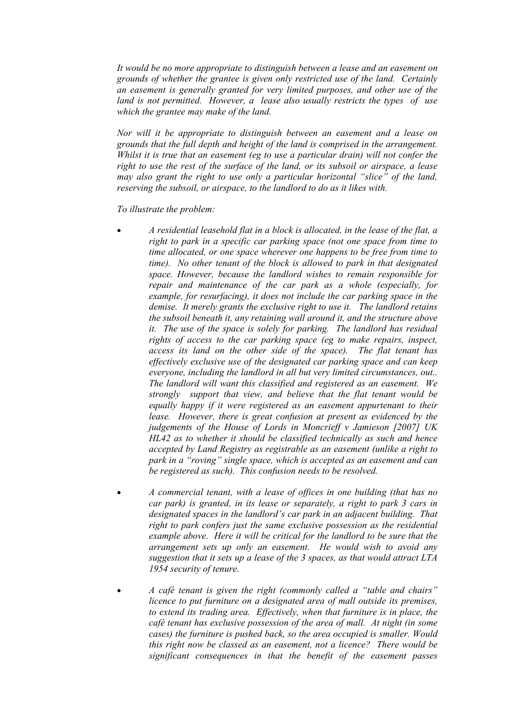*It would be no more appropriate to distinguish between a lease and an easement on grounds of whether the grantee is given only restricted use of the land. Certainly an easement is generally granted for very limited purposes, and other use of the land is not permitted. However, a lease also usually restricts the types of use which the grantee may make of the land.* 

*Nor will it be appropriate to distinguish between an easement and a lease on grounds that the full depth and height of the land is comprised in the arrangement. Whilst it is true that an easement (eg to use a particular drain) will not confer the right to use the rest of the surface of the land, or its subsoil or airspace, a lease may also grant the right to use only a particular horizontal "slice" of the land, reserving the subsoil, or airspace, to the landlord to do as it likes with.* 

*To illustrate the problem:* 

- *A residential leasehold flat in a block is allocated, in the lease of the flat, a right to park in a specific car parking space (not one space from time to time allocated, or one space wherever one happens to be free from time to time). No other tenant of the block is allowed to park in that designated space. However, because the landlord wishes to remain responsible for repair and maintenance of the car park as a whole (especially, for example, for resurfacing), it does not include the car parking space in the demise. It merely grants the exclusive right to use it. The landlord retains the subsoil beneath it, any retaining wall around it, and the structure above it. The use of the space is solely for parking. The landlord has residual rights of access to the car parking space (eg to make repairs, inspect, access its land on the other side of the space). The flat tenant has effectively exclusive use of the designated car parking space and can keep everyone, including the landlord in all but very limited circumstances, out.. The landlord will want this classified and registered as an easement. We strongly support that view, and believe that the flat tenant would be equally happy if it were registered as an easement appurtenant to their lease. However, there is great confusion at present as evidenced by the judgements of the House of Lords in Moncrieff v Jamieson [2007] UK HL42 as to whether it should be classified technically as such and hence accepted by Land Registry as registrable as an easement (unlike a right to park in a "roving" single space, which is accepted as an easement and can be registered as such). This confusion needs to be resolved.*
- *A commercial tenant, with a lease of offices in one building (that has no car park) is granted, in its lease or separately, a right to park 3 cars in designated spaces in the landlord's car park in an adjacent building. That right to park confers just the same exclusive possession as the residential example above. Here it will be critical for the landlord to be sure that the arrangement sets up only an easement. He would wish to avoid any suggestion that it sets up a lease of the 3 spaces, as that would attract LTA 1954 security of tenure.*
- *A café tenant is given the right (commonly called a "table and chairs" licence to put furniture on a designated area of mall outside its premises, to extend its trading area. Effectively, when that furniture is in place, the café tenant has exclusive possession of the area of mall. At night (in some cases) the furniture is pushed back, so the area occupied is smaller. Would this right now be classed as an easement, not a licence? There would be significant consequences in that the benefit of the easement passes*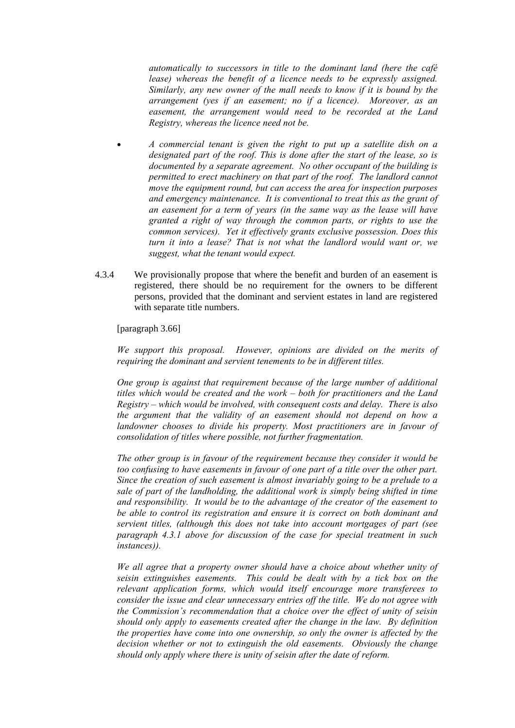*automatically to successors in title to the dominant land (here the café lease*) whereas the benefit of a licence needs to be expressly assigned. *Similarly, any new owner of the mall needs to know if it is bound by the arrangement (yes if an easement; no if a licence). Moreover, as an easement, the arrangement would need to be recorded at the Land Registry, whereas the licence need not be.* 

- *A commercial tenant is given the right to put up a satellite dish on a designated part of the roof. This is done after the start of the lease, so is documented by a separate agreement. No other occupant of the building is permitted to erect machinery on that part of the roof. The landlord cannot move the equipment round, but can access the area for inspection purposes and emergency maintenance. It is conventional to treat this as the grant of an easement for a term of years (in the same way as the lease will have granted a right of way through the common parts, or rights to use the common services). Yet it effectively grants exclusive possession. Does this turn it into a lease? That is not what the landlord would want or, we suggest, what the tenant would expect.*
- 4.3.4 We provisionally propose that where the benefit and burden of an easement is registered, there should be no requirement for the owners to be different persons, provided that the dominant and servient estates in land are registered with separate title numbers.

[paragraph 3.66]

*We support this proposal. However, opinions are divided on the merits of requiring the dominant and servient tenements to be in different titles.* 

*One group is against that requirement because of the large number of additional titles which would be created and the work – both for practitioners and the Land Registry – which would be involved, with consequent costs and delay. There is also the argument that the validity of an easement should not depend on how a landowner chooses to divide his property. Most practitioners are in favour of consolidation of titles where possible, not further fragmentation.* 

*The other group is in favour of the requirement because they consider it would be too confusing to have easements in favour of one part of a title over the other part. Since the creation of such easement is almost invariably going to be a prelude to a sale of part of the landholding, the additional work is simply being shifted in time and responsibility. It would be to the advantage of the creator of the easement to be able to control its registration and ensure it is correct on both dominant and servient titles, (although this does not take into account mortgages of part (see paragraph 4.3.1 above for discussion of the case for special treatment in such instances)).* 

*We all agree that a property owner should have a choice about whether unity of seisin extinguishes easements. This could be dealt with by a tick box on the relevant application forms, which would itself encourage more transferees to consider the issue and clear unnecessary entries off the title. We do not agree with the Commission's recommendation that a choice over the effect of unity of seisin should only apply to easements created after the change in the law. By definition the properties have come into one ownership, so only the owner is affected by the decision whether or not to extinguish the old easements. Obviously the change should only apply where there is unity of seisin after the date of reform.*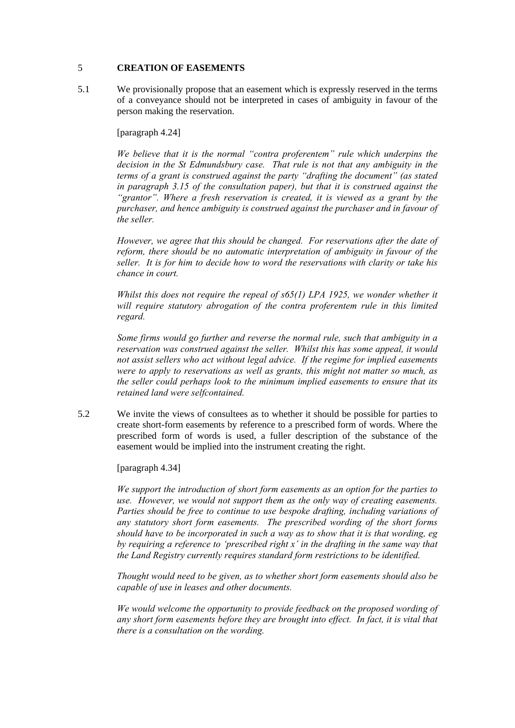## 5 **CREATION OF EASEMENTS**

5.1 We provisionally propose that an easement which is expressly reserved in the terms of a conveyance should not be interpreted in cases of ambiguity in favour of the person making the reservation.

[paragraph 4.24]

*We believe that it is the normal "contra proferentem" rule which underpins the decision in the St Edmundsbury case. That rule is not that any ambiguity in the terms of a grant is construed against the party "drafting the document" (as stated in paragraph 3.15 of the consultation paper), but that it is construed against the "grantor". Where a fresh reservation is created, it is viewed as a grant by the purchaser, and hence ambiguity is construed against the purchaser and in favour of the seller.* 

*However, we agree that this should be changed. For reservations after the date of reform, there should be no automatic interpretation of ambiguity in favour of the seller. It is for him to decide how to word the reservations with clarity or take his chance in court.* 

*Whilst this does not require the repeal of s65(1) LPA 1925, we wonder whether it will require statutory abrogation of the contra proferentem rule in this limited regard.* 

*Some firms would go further and reverse the normal rule, such that ambiguity in a reservation was construed against the seller. Whilst this has some appeal, it would not assist sellers who act without legal advice. If the regime for implied easements were to apply to reservations as well as grants, this might not matter so much, as the seller could perhaps look to the minimum implied easements to ensure that its retained land were selfcontained.* 

5.2 We invite the views of consultees as to whether it should be possible for parties to create short-form easements by reference to a prescribed form of words. Where the prescribed form of words is used, a fuller description of the substance of the easement would be implied into the instrument creating the right.

[paragraph 4.34]

*We support the introduction of short form easements as an option for the parties to use. However, we would not support them as the only way of creating easements. Parties should be free to continue to use bespoke drafting, including variations of any statutory short form easements. The prescribed wording of the short forms should have to be incorporated in such a way as to show that it is that wording, eg by requiring a reference to 'prescribed right x' in the drafting in the same way that the Land Registry currently requires standard form restrictions to be identified.* 

*Thought would need to be given, as to whether short form easements should also be capable of use in leases and other documents.* 

*We would welcome the opportunity to provide feedback on the proposed wording of any short form easements before they are brought into effect. In fact, it is vital that there is a consultation on the wording.*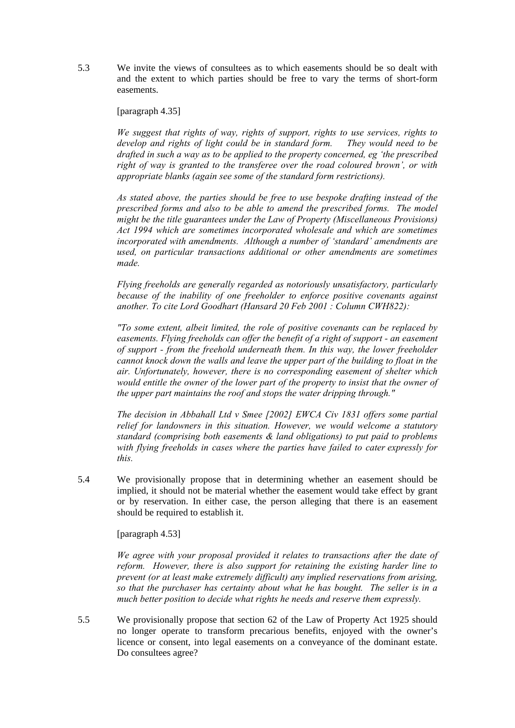5.3 We invite the views of consultees as to which easements should be so dealt with and the extent to which parties should be free to vary the terms of short-form easements.

[paragraph 4.35]

*We suggest that rights of way, rights of support, rights to use services, rights to develop and rights of light could be in standard form. They would need to be drafted in such a way as to be applied to the property concerned, eg 'the prescribed right of way is granted to the transferee over the road coloured brown', or with appropriate blanks (again see some of the standard form restrictions).* 

*As stated above, the parties should be free to use bespoke drafting instead of the prescribed forms and also to be able to amend the prescribed forms. The model might be the title guarantees under the Law of Property (Miscellaneous Provisions) Act 1994 which are sometimes incorporated wholesale and which are sometimes incorporated with amendments. Although a number of 'standard' amendments are used, on particular transactions additional or other amendments are sometimes made.* 

*Flying freeholds are generally regarded as notoriously unsatisfactory, particularly because of the inability of one freeholder to enforce positive covenants against another. To cite Lord Goodhart (Hansard 20 Feb 2001 : Column CWH822):* 

*"To some extent, albeit limited, the role of positive covenants can be replaced by easements. Flying freeholds can offer the benefit of a right of support - an easement of support - from the freehold underneath them. In this way, the lower freeholder cannot knock down the walls and leave the upper part of the building to float in the air. Unfortunately, however, there is no corresponding easement of shelter which would entitle the owner of the lower part of the property to insist that the owner of the upper part maintains the roof and stops the water dripping through."* 

*The decision in Abbahall Ltd v Smee [2002] EWCA Civ 1831 offers some partial relief for landowners in this situation. However, we would welcome a statutory standard (comprising both easements & land obligations) to put paid to problems with flying freeholds in cases where the parties have failed to cater expressly for this.* 

5.4 We provisionally propose that in determining whether an easement should be implied, it should not be material whether the easement would take effect by grant or by reservation. In either case, the person alleging that there is an easement should be required to establish it.

[paragraph 4.53]

*We agree with your proposal provided it relates to transactions after the date of reform. However, there is also support for retaining the existing harder line to prevent (or at least make extremely difficult) any implied reservations from arising, so that the purchaser has certainty about what he has bought. The seller is in a much better position to decide what rights he needs and reserve them expressly.* 

5.5 We provisionally propose that section 62 of the Law of Property Act 1925 should no longer operate to transform precarious benefits, enjoyed with the owner's licence or consent, into legal easements on a conveyance of the dominant estate. Do consultees agree?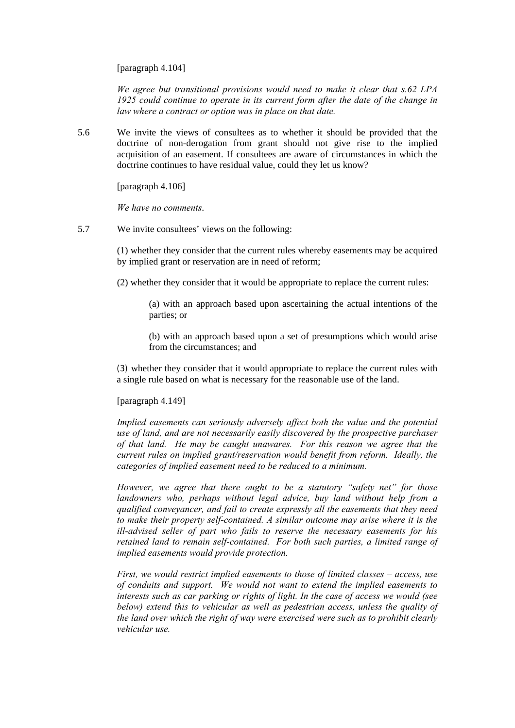[paragraph 4.104]

*We agree but transitional provisions would need to make it clear that s.62 LPA 1925 could continue to operate in its current form after the date of the change in law where a contract or option was in place on that date.* 

5.6 We invite the views of consultees as to whether it should be provided that the doctrine of non-derogation from grant should not give rise to the implied acquisition of an easement. If consultees are aware of circumstances in which the doctrine continues to have residual value, could they let us know?

[paragraph 4.106]

*We have no comments*.

5.7 We invite consultees' views on the following:

(1) whether they consider that the current rules whereby easements may be acquired by implied grant or reservation are in need of reform;

(2) whether they consider that it would be appropriate to replace the current rules:

(a) with an approach based upon ascertaining the actual intentions of the parties; or

(b) with an approach based upon a set of presumptions which would arise from the circumstances; and

(3) whether they consider that it would appropriate to replace the current rules with a single rule based on what is necessary for the reasonable use of the land.

### [paragraph 4.149]

*Implied easements can seriously adversely affect both the value and the potential use of land, and are not necessarily easily discovered by the prospective purchaser of that land. He may be caught unawares. For this reason we agree that the current rules on implied grant/reservation would benefit from reform. Ideally, the categories of implied easement need to be reduced to a minimum.* 

*However, we agree that there ought to be a statutory "safety net" for those landowners who, perhaps without legal advice, buy land without help from a qualified conveyancer, and fail to create expressly all the easements that they need to make their property self-contained. A similar outcome may arise where it is the ill-advised seller of part who fails to reserve the necessary easements for his retained land to remain self-contained. For both such parties, a limited range of implied easements would provide protection.* 

*First, we would restrict implied easements to those of limited classes – access, use of conduits and support. We would not want to extend the implied easements to interests such as car parking or rights of light. In the case of access we would (see below) extend this to vehicular as well as pedestrian access, unless the quality of the land over which the right of way were exercised were such as to prohibit clearly vehicular use.*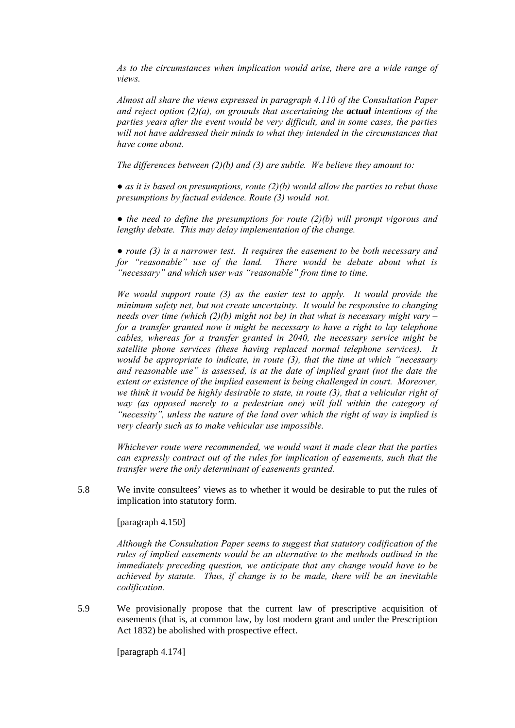*As to the circumstances when implication would arise, there are a wide range of views.* 

*Almost all share the views expressed in paragraph 4.110 of the Consultation Paper and reject option (2)(a), on grounds that ascertaining the actual intentions of the parties years after the event would be very difficult, and in some cases, the parties will not have addressed their minds to what they intended in the circumstances that have come about.* 

*The differences between (2)(b) and (3) are subtle. We believe they amount to:* 

*● as it is based on presumptions, route (2)(b) would allow the parties to rebut those presumptions by factual evidence. Route (3) would not.* 

*● the need to define the presumptions for route (2)(b) will prompt vigorous and lengthy debate. This may delay implementation of the change.* 

*● route (3) is a narrower test. It requires the easement to be both necessary and for "reasonable" use of the land. There would be debate about what is "necessary" and which user was "reasonable" from time to time.* 

*We would support route (3) as the easier test to apply. It would provide the minimum safety net, but not create uncertainty. It would be responsive to changing needs over time (which (2)(b) might not be) in that what is necessary might vary – for a transfer granted now it might be necessary to have a right to lay telephone cables, whereas for a transfer granted in 2040, the necessary service might be satellite phone services (these having replaced normal telephone services). It would be appropriate to indicate, in route (3), that the time at which "necessary and reasonable use" is assessed, is at the date of implied grant (not the date the extent or existence of the implied easement is being challenged in court. Moreover, we think it would be highly desirable to state, in route (3), that a vehicular right of way (as opposed merely to a pedestrian one) will fall within the category of "necessity", unless the nature of the land over which the right of way is implied is very clearly such as to make vehicular use impossible.* 

*Whichever route were recommended, we would want it made clear that the parties can expressly contract out of the rules for implication of easements, such that the transfer were the only determinant of easements granted.* 

5.8 We invite consultees' views as to whether it would be desirable to put the rules of implication into statutory form.

[paragraph 4.150]

*Although the Consultation Paper seems to suggest that statutory codification of the rules of implied easements would be an alternative to the methods outlined in the immediately preceding question, we anticipate that any change would have to be achieved by statute. Thus, if change is to be made, there will be an inevitable codification.*

5.9 We provisionally propose that the current law of prescriptive acquisition of easements (that is, at common law, by lost modern grant and under the Prescription Act 1832) be abolished with prospective effect.

[paragraph 4.174]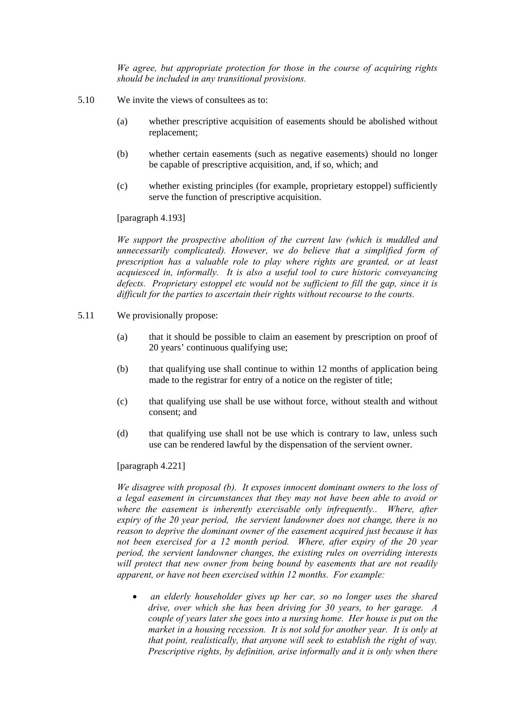*We agree, but appropriate protection for those in the course of acquiring rights should be included in any transitional provisions.* 

- 5.10 We invite the views of consultees as to:
	- (a) whether prescriptive acquisition of easements should be abolished without replacement;
	- (b) whether certain easements (such as negative easements) should no longer be capable of prescriptive acquisition, and, if so, which; and
	- (c) whether existing principles (for example, proprietary estoppel) sufficiently serve the function of prescriptive acquisition.

[paragraph 4.193]

*We support the prospective abolition of the current law (which is muddled and unnecessarily complicated). However, we do believe that a simplified form of prescription has a valuable role to play where rights are granted, or at least acquiesced in, informally. It is also a useful tool to cure historic conveyancing defects. Proprietary estoppel etc would not be sufficient to fill the gap, since it is difficult for the parties to ascertain their rights without recourse to the courts.* 

- 5.11 We provisionally propose:
	- (a) that it should be possible to claim an easement by prescription on proof of 20 years' continuous qualifying use;
	- (b) that qualifying use shall continue to within 12 months of application being made to the registrar for entry of a notice on the register of title;
	- (c) that qualifying use shall be use without force, without stealth and without consent; and
	- (d) that qualifying use shall not be use which is contrary to law, unless such use can be rendered lawful by the dispensation of the servient owner.

[paragraph 4.221]

*We disagree with proposal (b). It exposes innocent dominant owners to the loss of a legal easement in circumstances that they may not have been able to avoid or*  where the easement is inherently exercisable only infrequently.. Where, after *expiry of the 20 year period, the servient landowner does not change, there is no reason to deprive the dominant owner of the easement acquired just because it has not been exercised for a 12 month period. Where, after expiry of the 20 year period, the servient landowner changes, the existing rules on overriding interests will protect that new owner from being bound by easements that are not readily apparent, or have not been exercised within 12 months. For example:* 

• *an elderly householder gives up her car, so no longer uses the shared drive, over which she has been driving for 30 years, to her garage. A couple of years later she goes into a nursing home. Her house is put on the market in a housing recession. It is not sold for another year. It is only at that point, realistically, that anyone will seek to establish the right of way. Prescriptive rights, by definition, arise informally and it is only when there*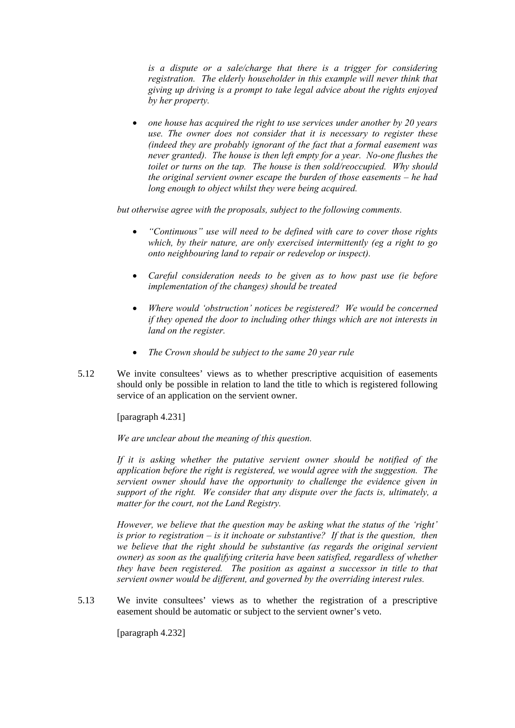*is a dispute or a sale/charge that there is a trigger for considering registration. The elderly householder in this example will never think that giving up driving is a prompt to take legal advice about the rights enjoyed by her property.* 

• *one house has acquired the right to use services under another by 20 years use. The owner does not consider that it is necessary to register these (indeed they are probably ignorant of the fact that a formal easement was never granted). The house is then left empty for a year. No-one flushes the toilet or turns on the tap. The house is then sold/reoccupied. Why should the original servient owner escape the burden of those easements – he had long enough to object whilst they were being acquired.* 

*but otherwise agree with the proposals, subject to the following comments.* 

- *"Continuous" use will need to be defined with care to cover those rights which, by their nature, are only exercised intermittently (eg a right to go onto neighbouring land to repair or redevelop or inspect).*
- *Careful consideration needs to be given as to how past use (ie before implementation of the changes) should be treated*
- *Where would 'obstruction' notices be registered? We would be concerned if they opened the door to including other things which are not interests in land on the register.*
- *The Crown should be subject to the same 20 year rule*
- 5.12 We invite consultees' views as to whether prescriptive acquisition of easements should only be possible in relation to land the title to which is registered following service of an application on the servient owner.

[paragraph 4.231]

*We are unclear about the meaning of this question.* 

*If it is asking whether the putative servient owner should be notified of the application before the right is registered, we would agree with the suggestion. The servient owner should have the opportunity to challenge the evidence given in support of the right. We consider that any dispute over the facts is, ultimately, a matter for the court, not the Land Registry.* 

*However, we believe that the question may be asking what the status of the 'right' is prior to registration – is it inchoate or substantive? If that is the question, then*  we believe that the right should be substantive (as regards the original servient *owner) as soon as the qualifying criteria have been satisfied, regardless of whether they have been registered. The position as against a successor in title to that servient owner would be different, and governed by the overriding interest rules.* 

5.13 We invite consultees' views as to whether the registration of a prescriptive easement should be automatic or subject to the servient owner's veto.

[paragraph 4.232]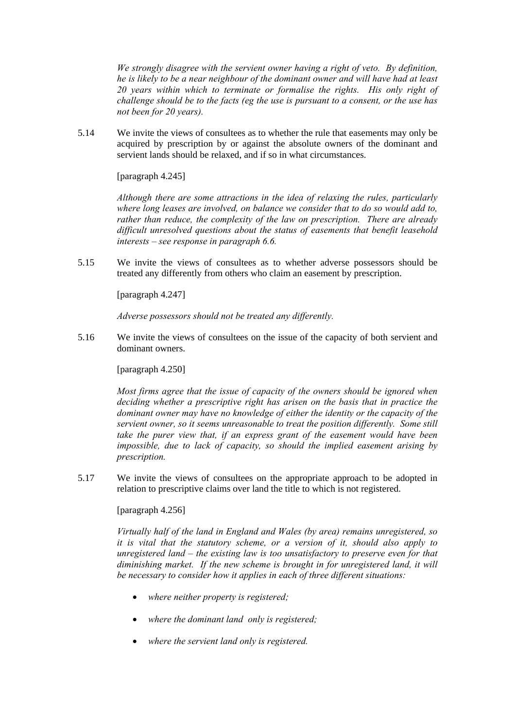*We strongly disagree with the servient owner having a right of veto. By definition, he is likely to be a near neighbour of the dominant owner and will have had at least 20 years within which to terminate or formalise the rights. His only right of challenge should be to the facts (eg the use is pursuant to a consent, or the use has not been for 20 years).* 

5.14 We invite the views of consultees as to whether the rule that easements may only be acquired by prescription by or against the absolute owners of the dominant and servient lands should be relaxed, and if so in what circumstances.

[paragraph 4.245]

*Although there are some attractions in the idea of relaxing the rules, particularly where long leases are involved, on balance we consider that to do so would add to, rather than reduce, the complexity of the law on prescription. There are already difficult unresolved questions about the status of easements that benefit leasehold interests – see response in paragraph 6.6.* 

5.15 We invite the views of consultees as to whether adverse possessors should be treated any differently from others who claim an easement by prescription.

[paragraph 4.247]

*Adverse possessors should not be treated any differently.* 

5.16 We invite the views of consultees on the issue of the capacity of both servient and dominant owners.

[paragraph 4.250]

*Most firms agree that the issue of capacity of the owners should be ignored when deciding whether a prescriptive right has arisen on the basis that in practice the dominant owner may have no knowledge of either the identity or the capacity of the servient owner, so it seems unreasonable to treat the position differently. Some still take the purer view that, if an express grant of the easement would have been impossible, due to lack of capacity, so should the implied easement arising by prescription.* 

5.17 We invite the views of consultees on the appropriate approach to be adopted in relation to prescriptive claims over land the title to which is not registered.

[paragraph 4.256]

*Virtually half of the land in England and Wales (by area) remains unregistered, so it is vital that the statutory scheme, or a version of it, should also apply to unregistered land – the existing law is too unsatisfactory to preserve even for that diminishing market. If the new scheme is brought in for unregistered land, it will be necessary to consider how it applies in each of three different situations:* 

- *where neither property is registered;*
- *where the dominant land only is registered;*
- *where the servient land only is registered.*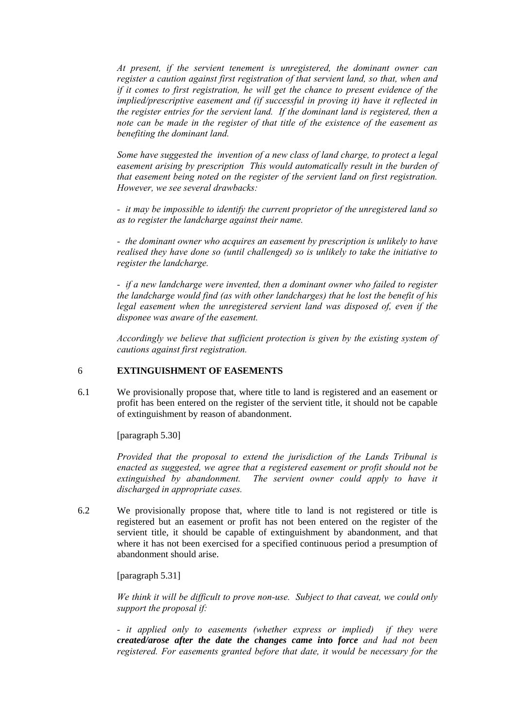*At present, if the servient tenement is unregistered, the dominant owner can register a caution against first registration of that servient land, so that, when and if it comes to first registration, he will get the chance to present evidence of the implied/prescriptive easement and (if successful in proving it) have it reflected in the register entries for the servient land. If the dominant land is registered, then a note can be made in the register of that title of the existence of the easement as benefiting the dominant land.* 

*Some have suggested the invention of a new class of land charge, to protect a legal easement arising by prescription This would automatically result in the burden of that easement being noted on the register of the servient land on first registration. However, we see several drawbacks:* 

*- it may be impossible to identify the current proprietor of the unregistered land so as to register the landcharge against their name.* 

*- the dominant owner who acquires an easement by prescription is unlikely to have realised they have done so (until challenged) so is unlikely to take the initiative to register the landcharge.* 

*- if a new landcharge were invented, then a dominant owner who failed to register the landcharge would find (as with other landcharges) that he lost the benefit of his legal easement when the unregistered servient land was disposed of, even if the disponee was aware of the easement.* 

*Accordingly we believe that sufficient protection is given by the existing system of cautions against first registration.* 

## 6 **EXTINGUISHMENT OF EASEMENTS**

6.1 We provisionally propose that, where title to land is registered and an easement or profit has been entered on the register of the servient title, it should not be capable of extinguishment by reason of abandonment.

[paragraph 5.30]

*Provided that the proposal to extend the jurisdiction of the Lands Tribunal is enacted as suggested, we agree that a registered easement or profit should not be extinguished by abandonment. The servient owner could apply to have it discharged in appropriate cases.* 

6.2 We provisionally propose that, where title to land is not registered or title is registered but an easement or profit has not been entered on the register of the servient title, it should be capable of extinguishment by abandonment, and that where it has not been exercised for a specified continuous period a presumption of abandonment should arise.

[paragraph 5.31]

*We think it will be difficult to prove non-use. Subject to that caveat, we could only support the proposal if:* 

*- it applied only to easements (whether express or implied) if they were created/arose after the date the changes came into force and had not been registered. For easements granted before that date, it would be necessary for the*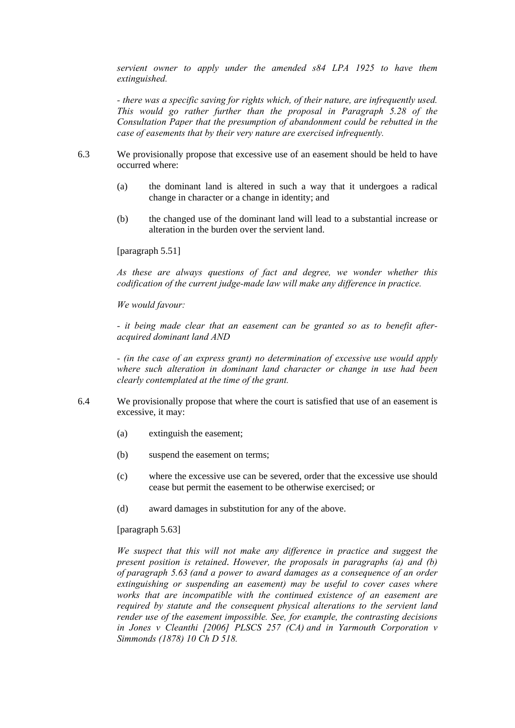*servient owner to apply under the amended s84 LPA 1925 to have them extinguished.* 

*- there was a specific saving for rights which, of their nature, are infrequently used. This would go rather further than the proposal in Paragraph 5.28 of the Consultation Paper that the presumption of abandonment could be rebutted in the case of easements that by their very nature are exercised infrequently.* 

- 6.3 We provisionally propose that excessive use of an easement should be held to have occurred where:
	- (a) the dominant land is altered in such a way that it undergoes a radical change in character or a change in identity; and
	- (b) the changed use of the dominant land will lead to a substantial increase or alteration in the burden over the servient land.

[paragraph 5.51]

*As these are always questions of fact and degree, we wonder whether this codification of the current judge-made law will make any difference in practice.* 

*We would favour:* 

*- it being made clear that an easement can be granted so as to benefit afteracquired dominant land AND* 

*- (in the case of an express grant) no determination of excessive use would apply where such alteration in dominant land character or change in use had been clearly contemplated at the time of the grant.* 

- 6.4 We provisionally propose that where the court is satisfied that use of an easement is excessive, it may:
	- (a) extinguish the easement;
	- (b) suspend the easement on terms;
	- (c) where the excessive use can be severed, order that the excessive use should cease but permit the easement to be otherwise exercised; or
	- (d) award damages in substitution for any of the above.

[paragraph 5.63]

*We suspect that this will not make any difference in practice and suggest the present position is retained*. *However, the proposals in paragraphs (a) and (b) of paragraph 5.63 (and a power to award damages as a consequence of an order extinguishing or suspending an easement) may be useful to cover cases where works that are incompatible with the continued existence of an easement are required by statute and the consequent physical alterations to the servient land render use of the easement impossible. See, for example, the contrasting decisions in Jones v Cleanthi [2006] PLSCS 257 (CA) and in Yarmouth Corporation v Simmonds (1878) 10 Ch D 518.*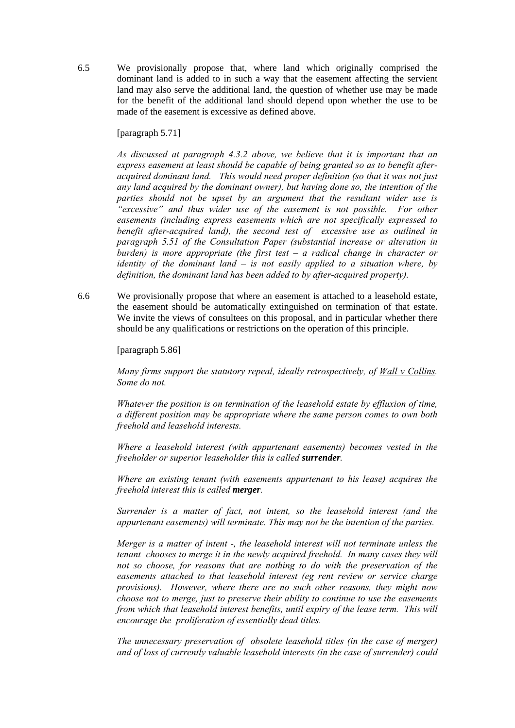6.5 We provisionally propose that, where land which originally comprised the dominant land is added to in such a way that the easement affecting the servient land may also serve the additional land, the question of whether use may be made for the benefit of the additional land should depend upon whether the use to be made of the easement is excessive as defined above.

[paragraph 5.71]

*As discussed at paragraph 4.3.2 above, we believe that it is important that an express easement at least should be capable of being granted so as to benefit afteracquired dominant land. This would need proper definition (so that it was not just any land acquired by the dominant owner), but having done so, the intention of the parties should not be upset by an argument that the resultant wider use is "excessive" and thus wider use of the easement is not possible. For other easements (including express easements which are not specifically expressed to benefit after-acquired land), the second test of excessive use as outlined in paragraph 5.51 of the Consultation Paper (substantial increase or alteration in burden) is more appropriate (the first test – a radical change in character or identity of the dominant land – is not easily applied to a situation where, by definition, the dominant land has been added to by after-acquired property).* 

6.6 We provisionally propose that where an easement is attached to a leasehold estate, the easement should be automatically extinguished on termination of that estate. We invite the views of consultees on this proposal, and in particular whether there should be any qualifications or restrictions on the operation of this principle.

[paragraph 5.86]

*Many firms support the statutory repeal, ideally retrospectively, of Wall v Collins. Some do not.* 

*Whatever the position is on termination of the leasehold estate by effluxion of time, a different position may be appropriate where the same person comes to own both freehold and leasehold interests.* 

*Where a leasehold interest (with appurtenant easements) becomes vested in the freeholder or superior leaseholder this is called surrender.* 

*Where an existing tenant (with easements appurtenant to his lease) acquires the freehold interest this is called merger.* 

*Surrender is a matter of fact, not intent, so the leasehold interest (and the appurtenant easements) will terminate. This may not be the intention of the parties.* 

*Merger is a matter of intent -, the leasehold interest will not terminate unless the tenant chooses to merge it in the newly acquired freehold. In many cases they will not so choose, for reasons that are nothing to do with the preservation of the easements attached to that leasehold interest (eg rent review or service charge provisions). However, where there are no such other reasons, they might now choose not to merge, just to preserve their ability to continue to use the easements from which that leasehold interest benefits, until expiry of the lease term. This will encourage the proliferation of essentially dead titles.* 

*The unnecessary preservation of obsolete leasehold titles (in the case of merger) and of loss of currently valuable leasehold interests (in the case of surrender) could*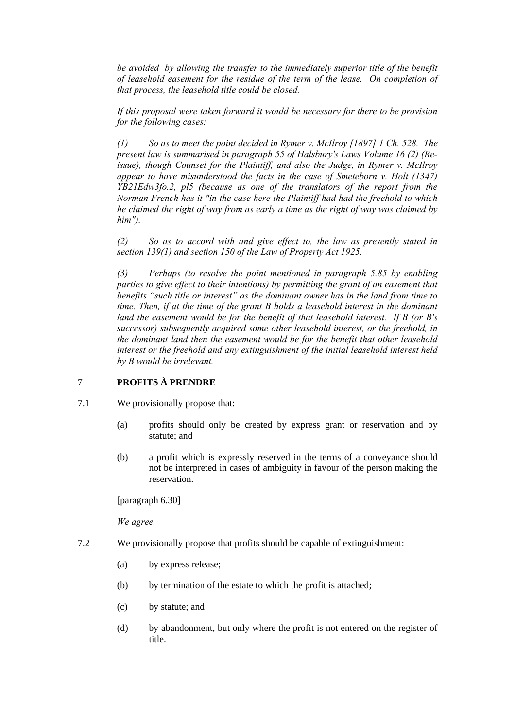*be avoided by allowing the transfer to the immediately superior title of the benefit of leasehold easement for the residue of the term of the lease. On completion of that process, the leasehold title could be closed.* 

*If this proposal were taken forward it would be necessary for there to be provision for the following cases:* 

*(1) So as to meet the point decided in Rymer v. McIlroy [1897] 1 Ch. 528. The present law is summarised in paragraph 55 of Halsbury's Laws Volume 16 (2) (Reissue), though Counsel for the Plaintiff, and also the Judge, in Rymer v. McIlroy appear to have misunderstood the facts in the case of Smeteborn v. Holt (1347) YB21Edw3fo.2, pl5 (because as one of the translators of the report from the Norman French has it "in the case here the Plaintiff had had the freehold to which he claimed the right of way from as early a time as the right of way was claimed by him").* 

*(2) So as to accord with and give effect to, the law as presently stated in section 139(1) and section 150 of the Law of Property Act 1925.* 

*(3) Perhaps (to resolve the point mentioned in paragraph 5.85 by enabling parties to give effect to their intentions) by permitting the grant of an easement that benefits "such title or interest" as the dominant owner has in the land from time to time. Then, if at the time of the grant B holds a leasehold interest in the dominant land the easement would be for the benefit of that leasehold interest. If B (or B's successor) subsequently acquired some other leasehold interest, or the freehold, in the dominant land then the easement would be for the benefit that other leasehold interest or the freehold and any extinguishment of the initial leasehold interest held by B would be irrelevant.* 

# 7 **PROFITS À PRENDRE**

- 7.1 We provisionally propose that:
	- (a) profits should only be created by express grant or reservation and by statute; and
	- (b) a profit which is expressly reserved in the terms of a conveyance should not be interpreted in cases of ambiguity in favour of the person making the reservation.

[paragraph 6.30]

*We agree.* 

- 7.2 We provisionally propose that profits should be capable of extinguishment:
	- (a) by express release;
	- (b) by termination of the estate to which the profit is attached;
	- (c) by statute; and
	- (d) by abandonment, but only where the profit is not entered on the register of title.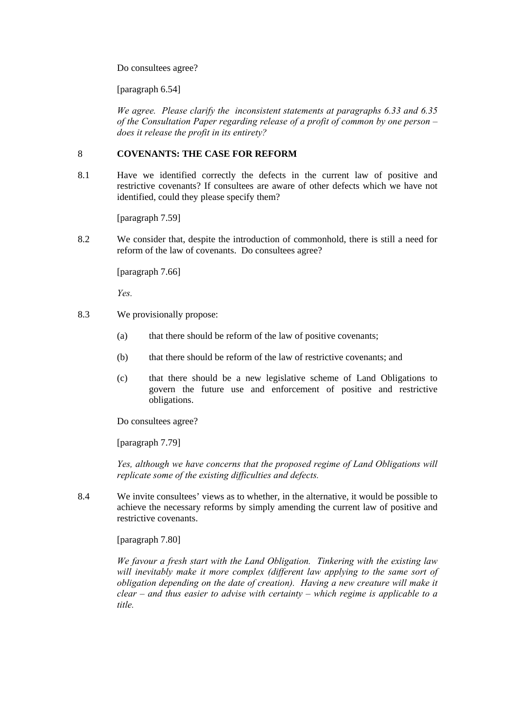Do consultees agree?

[paragraph 6.54]

*We agree. Please clarify the inconsistent statements at paragraphs 6.33 and 6.35 of the Consultation Paper regarding release of a profit of common by one person – does it release the profit in its entirety?* 

## 8 **COVENANTS: THE CASE FOR REFORM**

8.1 Have we identified correctly the defects in the current law of positive and restrictive covenants? If consultees are aware of other defects which we have not identified, could they please specify them?

[paragraph 7.59]

8.2 We consider that, despite the introduction of commonhold, there is still a need for reform of the law of covenants. Do consultees agree?

[paragraph 7.66]

*Yes.* 

- 8.3 We provisionally propose:
	- (a) that there should be reform of the law of positive covenants;
	- (b) that there should be reform of the law of restrictive covenants; and
	- (c) that there should be a new legislative scheme of Land Obligations to govern the future use and enforcement of positive and restrictive obligations.

Do consultees agree?

[paragraph 7.79]

*Yes, although we have concerns that the proposed regime of Land Obligations will replicate some of the existing difficulties and defects.* 

8.4 We invite consultees' views as to whether, in the alternative, it would be possible to achieve the necessary reforms by simply amending the current law of positive and restrictive covenants.

[paragraph 7.80]

*We favour a fresh start with the Land Obligation. Tinkering with the existing law*  will inevitably make it more complex (different law applying to the same sort of *obligation depending on the date of creation). Having a new creature will make it clear – and thus easier to advise with certainty – which regime is applicable to a title.*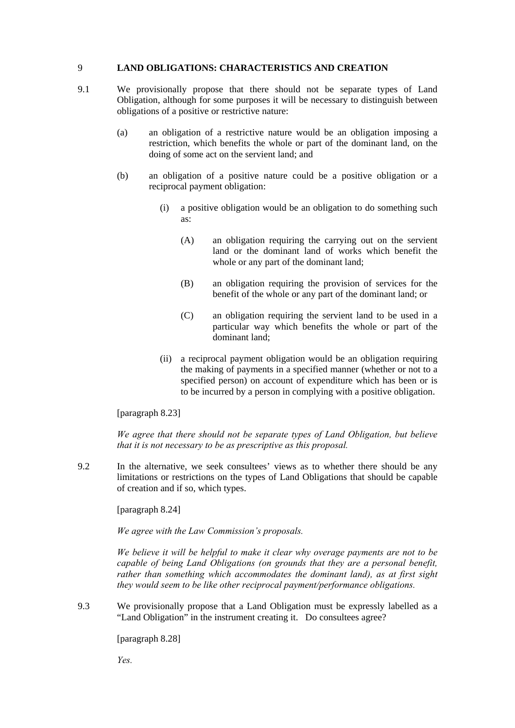## 9 **LAND OBLIGATIONS: CHARACTERISTICS AND CREATION**

- 9.1 We provisionally propose that there should not be separate types of Land Obligation, although for some purposes it will be necessary to distinguish between obligations of a positive or restrictive nature:
	- (a) an obligation of a restrictive nature would be an obligation imposing a restriction, which benefits the whole or part of the dominant land, on the doing of some act on the servient land; and
	- (b) an obligation of a positive nature could be a positive obligation or a reciprocal payment obligation:
		- (i) a positive obligation would be an obligation to do something such as:
			- (A) an obligation requiring the carrying out on the servient land or the dominant land of works which benefit the whole or any part of the dominant land:
			- (B) an obligation requiring the provision of services for the benefit of the whole or any part of the dominant land; or
			- (C) an obligation requiring the servient land to be used in a particular way which benefits the whole or part of the dominant land;
		- (ii) a reciprocal payment obligation would be an obligation requiring the making of payments in a specified manner (whether or not to a specified person) on account of expenditure which has been or is to be incurred by a person in complying with a positive obligation.

## [paragraph 8.23]

*We agree that there should not be separate types of Land Obligation, but believe that it is not necessary to be as prescriptive as this proposal.*

9.2 In the alternative, we seek consultees' views as to whether there should be any limitations or restrictions on the types of Land Obligations that should be capable of creation and if so, which types.

[paragraph 8.24]

*We agree with the Law Commission's proposals.* 

*We believe it will be helpful to make it clear why overage payments are not to be capable of being Land Obligations (on grounds that they are a personal benefit, rather than something which accommodates the dominant land), as at first sight they would seem to be like other reciprocal payment/performance obligations.* 

9.3 We provisionally propose that a Land Obligation must be expressly labelled as a "Land Obligation" in the instrument creating it. Do consultees agree?

[paragraph 8.28]

*Yes.*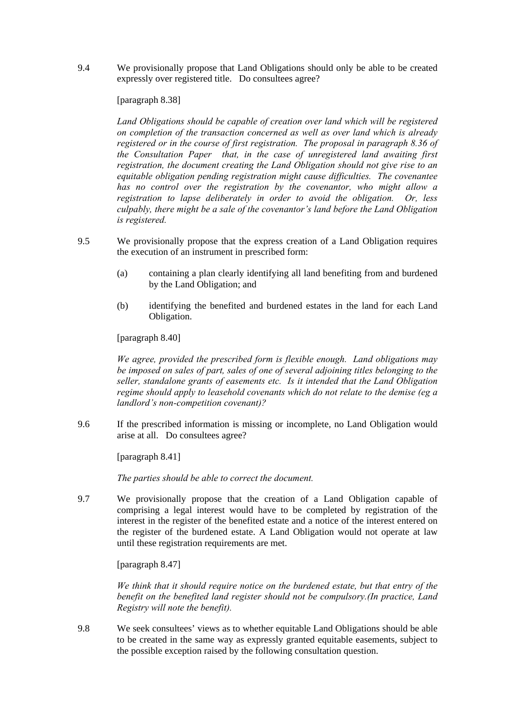9.4 We provisionally propose that Land Obligations should only be able to be created expressly over registered title. Do consultees agree?

### [paragraph 8.38]

*Land Obligations should be capable of creation over land which will be registered on completion of the transaction concerned as well as over land which is already registered or in the course of first registration. The proposal in paragraph 8.36 of the Consultation Paper that, in the case of unregistered land awaiting first registration, the document creating the Land Obligation should not give rise to an equitable obligation pending registration might cause difficulties. The covenantee has no control over the registration by the covenantor, who might allow a registration to lapse deliberately in order to avoid the obligation. Or, less culpably, there might be a sale of the covenantor's land before the Land Obligation is registered.* 

- 9.5 We provisionally propose that the express creation of a Land Obligation requires the execution of an instrument in prescribed form:
	- (a) containing a plan clearly identifying all land benefiting from and burdened by the Land Obligation; and
	- (b) identifying the benefited and burdened estates in the land for each Land Obligation.

[paragraph 8.40]

*We agree, provided the prescribed form is flexible enough. Land obligations may be imposed on sales of part, sales of one of several adjoining titles belonging to the seller, standalone grants of easements etc. Is it intended that the Land Obligation regime should apply to leasehold covenants which do not relate to the demise (eg a landlord's non-competition covenant)?* 

9.6 If the prescribed information is missing or incomplete, no Land Obligation would arise at all. Do consultees agree?

[paragraph 8.41]

*The parties should be able to correct the document.* 

9.7 We provisionally propose that the creation of a Land Obligation capable of comprising a legal interest would have to be completed by registration of the interest in the register of the benefited estate and a notice of the interest entered on the register of the burdened estate. A Land Obligation would not operate at law until these registration requirements are met.

[paragraph 8.47]

*We think that it should require notice on the burdened estate, but that entry of the benefit on the benefited land register should not be compulsory.(In practice, Land Registry will note the benefit).* 

9.8 We seek consultees' views as to whether equitable Land Obligations should be able to be created in the same way as expressly granted equitable easements, subject to the possible exception raised by the following consultation question.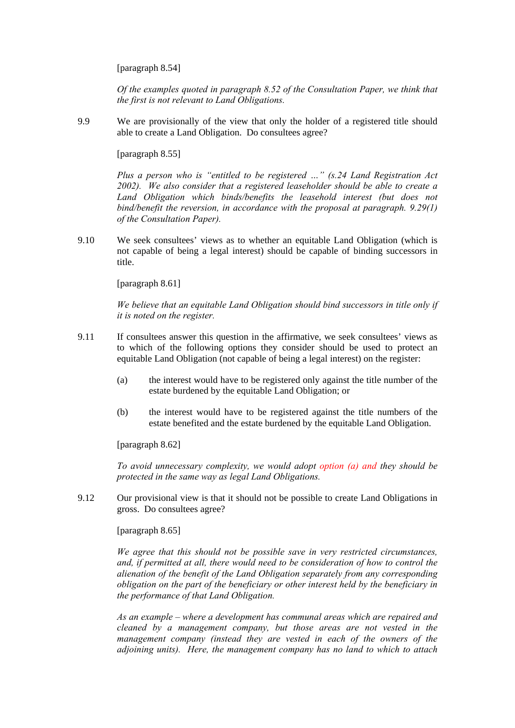[paragraph 8.54]

*Of the examples quoted in paragraph 8.52 of the Consultation Paper, we think that the first is not relevant to Land Obligations.*

9.9 We are provisionally of the view that only the holder of a registered title should able to create a Land Obligation. Do consultees agree?

[paragraph 8.55]

*Plus a person who is "entitled to be registered …" (s.24 Land Registration Act 2002). We also consider that a registered leaseholder should be able to create a*  Land Obligation which binds/benefits the leasehold interest (but does not *bind/benefit the reversion, in accordance with the proposal at paragraph. 9.29(1) of the Consultation Paper).* 

9.10 We seek consultees' views as to whether an equitable Land Obligation (which is not capable of being a legal interest) should be capable of binding successors in title.

[paragraph 8.61]

*We believe that an equitable Land Obligation should bind successors in title only if it is noted on the register.* 

- 9.11 If consultees answer this question in the affirmative, we seek consultees' views as to which of the following options they consider should be used to protect an equitable Land Obligation (not capable of being a legal interest) on the register:
	- (a) the interest would have to be registered only against the title number of the estate burdened by the equitable Land Obligation; or
	- (b) the interest would have to be registered against the title numbers of the estate benefited and the estate burdened by the equitable Land Obligation.

[paragraph 8.62]

*To avoid unnecessary complexity, we would adopt option (a) and they should be protected in the same way as legal Land Obligations.* 

9.12 Our provisional view is that it should not be possible to create Land Obligations in gross. Do consultees agree?

[paragraph 8.65]

*We agree that this should not be possible save in very restricted circumstances, and, if permitted at all, there would need to be consideration of how to control the alienation of the benefit of the Land Obligation separately from any corresponding obligation on the part of the beneficiary or other interest held by the beneficiary in the performance of that Land Obligation.* 

*As an example – where a development has communal areas which are repaired and cleaned by a management company, but those areas are not vested in the management company (instead they are vested in each of the owners of the adjoining units). Here, the management company has no land to which to attach*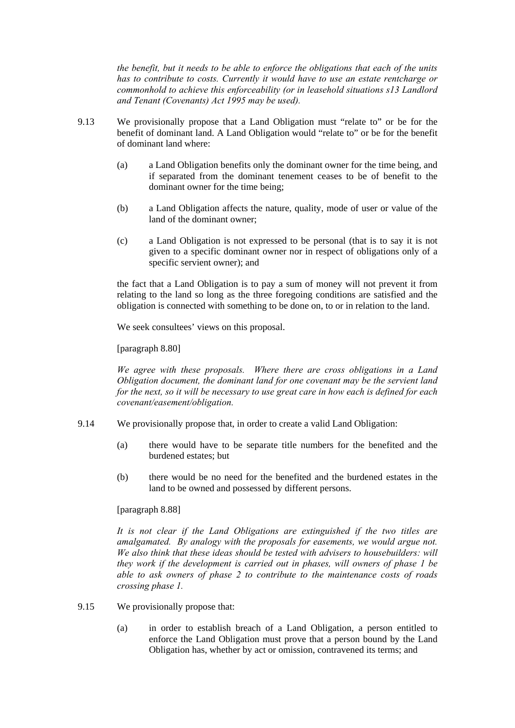*the benefit, but it needs to be able to enforce the obligations that each of the units has to contribute to costs. Currently it would have to use an estate rentcharge or commonhold to achieve this enforceability (or in leasehold situations s13 Landlord and Tenant (Covenants) Act 1995 may be used).* 

- 9.13 We provisionally propose that a Land Obligation must "relate to" or be for the benefit of dominant land. A Land Obligation would "relate to" or be for the benefit of dominant land where:
	- (a) a Land Obligation benefits only the dominant owner for the time being, and if separated from the dominant tenement ceases to be of benefit to the dominant owner for the time being;
	- (b) a Land Obligation affects the nature, quality, mode of user or value of the land of the dominant owner;
	- (c) a Land Obligation is not expressed to be personal (that is to say it is not given to a specific dominant owner nor in respect of obligations only of a specific servient owner); and

the fact that a Land Obligation is to pay a sum of money will not prevent it from relating to the land so long as the three foregoing conditions are satisfied and the obligation is connected with something to be done on, to or in relation to the land.

We seek consultees' views on this proposal.

[paragraph 8.80]

*We agree with these proposals. Where there are cross obligations in a Land Obligation document, the dominant land for one covenant may be the servient land for the next, so it will be necessary to use great care in how each is defined for each covenant/easement/obligation.* 

- 9.14 We provisionally propose that, in order to create a valid Land Obligation:
	- (a) there would have to be separate title numbers for the benefited and the burdened estates; but
	- (b) there would be no need for the benefited and the burdened estates in the land to be owned and possessed by different persons.

[paragraph 8.88]

*It is not clear if the Land Obligations are extinguished if the two titles are amalgamated. By analogy with the proposals for easements, we would argue not. We also think that these ideas should be tested with advisers to housebuilders: will they work if the development is carried out in phases, will owners of phase 1 be able to ask owners of phase 2 to contribute to the maintenance costs of roads crossing phase 1.* 

- 9.15 We provisionally propose that:
	- (a) in order to establish breach of a Land Obligation, a person entitled to enforce the Land Obligation must prove that a person bound by the Land Obligation has, whether by act or omission, contravened its terms; and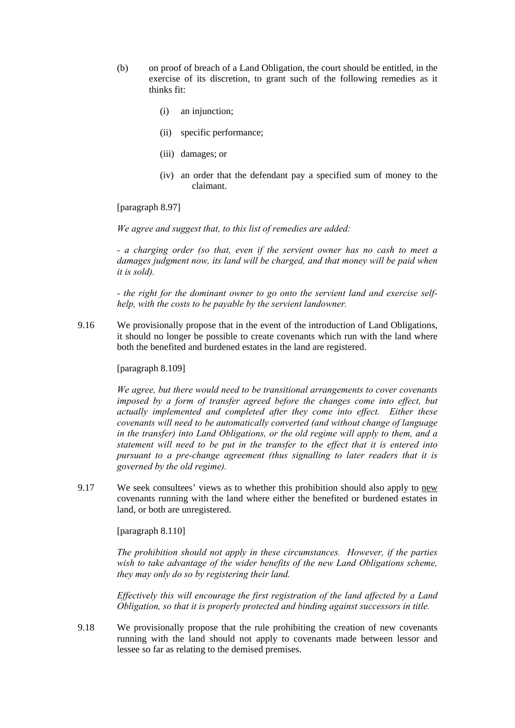- (b) on proof of breach of a Land Obligation, the court should be entitled, in the exercise of its discretion, to grant such of the following remedies as it thinks fit:
	- (i) an injunction;
	- (ii) specific performance;
	- (iii) damages; or
	- (iv) an order that the defendant pay a specified sum of money to the claimant.

[paragraph 8.97]

*We agree and suggest that, to this list of remedies are added:* 

*- a charging order (so that, even if the servient owner has no cash to meet a*  damages judgment now, its land will be charged, and that money will be paid when *it is sold).* 

*- the right for the dominant owner to go onto the servient land and exercise selfhelp, with the costs to be payable by the servient landowner.* 

9.16 We provisionally propose that in the event of the introduction of Land Obligations, it should no longer be possible to create covenants which run with the land where both the benefited and burdened estates in the land are registered.

### [paragraph 8.109]

*We agree, but there would need to be transitional arrangements to cover covenants imposed by a form of transfer agreed before the changes come into effect, but actually implemented and completed after they come into effect. Either these covenants will need to be automatically converted (and without change of language in the transfer) into Land Obligations, or the old regime will apply to them, and a statement will need to be put in the transfer to the effect that it is entered into pursuant to a pre-change agreement (thus signalling to later readers that it is governed by the old regime).* 

9.17 We seek consultees' views as to whether this prohibition should also apply to new covenants running with the land where either the benefited or burdened estates in land, or both are unregistered.

[paragraph 8.110]

*The prohibition should not apply in these circumstances. However, if the parties*  wish to take advantage of the wider benefits of the new Land Obligations scheme, *they may only do so by registering their land.* 

*Effectively this will encourage the first registration of the land affected by a Land Obligation, so that it is properly protected and binding against successors in title.* 

9.18 We provisionally propose that the rule prohibiting the creation of new covenants running with the land should not apply to covenants made between lessor and lessee so far as relating to the demised premises.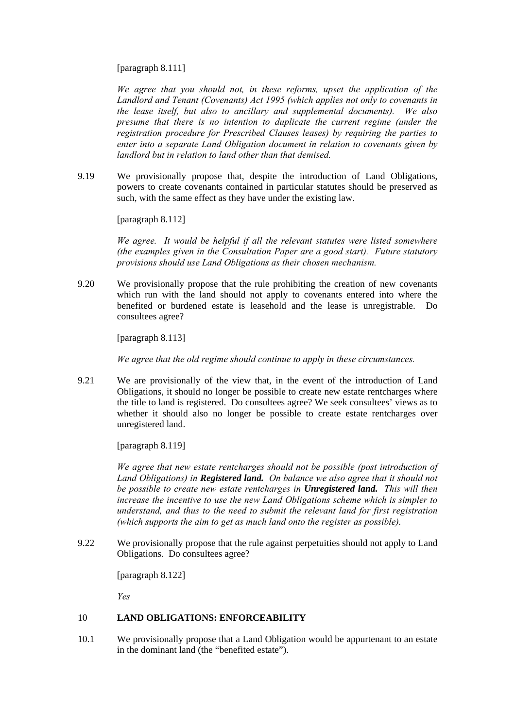### [paragraph 8.111]

*We agree that you should not, in these reforms, upset the application of the Landlord and Tenant (Covenants) Act 1995 (which applies not only to covenants in the lease itself, but also to ancillary and supplemental documents). We also presume that there is no intention to duplicate the current regime (under the registration procedure for Prescribed Clauses leases) by requiring the parties to enter into a separate Land Obligation document in relation to covenants given by landlord but in relation to land other than that demised.* 

9.19 We provisionally propose that, despite the introduction of Land Obligations, powers to create covenants contained in particular statutes should be preserved as such, with the same effect as they have under the existing law.

[paragraph 8.112]

*We agree. It would be helpful if all the relevant statutes were listed somewhere (the examples given in the Consultation Paper are a good start). Future statutory provisions should use Land Obligations as their chosen mechanism.* 

9.20 We provisionally propose that the rule prohibiting the creation of new covenants which run with the land should not apply to covenants entered into where the benefited or burdened estate is leasehold and the lease is unregistrable. Do consultees agree?

[paragraph 8.113]

*We agree that the old regime should continue to apply in these circumstances.* 

9.21 We are provisionally of the view that, in the event of the introduction of Land Obligations, it should no longer be possible to create new estate rentcharges where the title to land is registered. Do consultees agree? We seek consultees' views as to whether it should also no longer be possible to create estate rentcharges over unregistered land.

[paragraph 8.119]

*We agree that new estate rentcharges should not be possible (post introduction of Land Obligations) in Registered land. On balance we also agree that it should not be possible to create new estate rentcharges in Unregistered land. This will then increase the incentive to use the new Land Obligations scheme which is simpler to understand, and thus to the need to submit the relevant land for first registration (which supports the aim to get as much land onto the register as possible).* 

9.22 We provisionally propose that the rule against perpetuities should not apply to Land Obligations. Do consultees agree?

[paragraph 8.122]

*Yes* 

## 10 **LAND OBLIGATIONS: ENFORCEABILITY**

10.1 We provisionally propose that a Land Obligation would be appurtenant to an estate in the dominant land (the "benefited estate").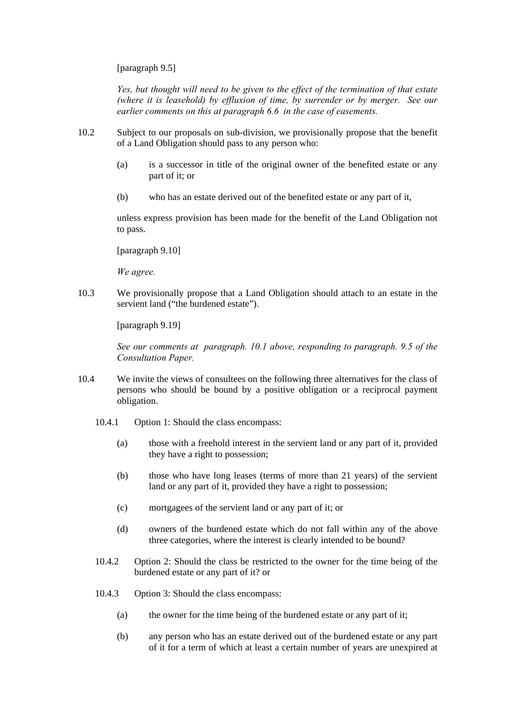[paragraph 9.5]

*Yes, but thought will need to be given to the effect of the termination of that estate (where it is leasehold) by effluxion of time, by surrender or by merger. See our earlier comments on this at paragraph 6.6 in the case of easements.* 

- 10.2 Subject to our proposals on sub-division, we provisionally propose that the benefit of a Land Obligation should pass to any person who:
	- (a) is a successor in title of the original owner of the benefited estate or any part of it; or
	- (b) who has an estate derived out of the benefited estate or any part of it,

unless express provision has been made for the benefit of the Land Obligation not to pass.

[paragraph 9.10]

*We agree.* 

10.3 We provisionally propose that a Land Obligation should attach to an estate in the servient land ("the burdened estate").

[paragraph 9.19]

*See our comments at paragraph. 10.1 above, responding to paragraph. 9.5 of the Consultation Paper.* 

- 10.4 We invite the views of consultees on the following three alternatives for the class of persons who should be bound by a positive obligation or a reciprocal payment obligation.
	- 10.4.1 Option 1: Should the class encompass:
		- (a) those with a freehold interest in the servient land or any part of it, provided they have a right to possession;
		- (b) those who have long leases (terms of more than 21 years) of the servient land or any part of it, provided they have a right to possession;
		- (c) mortgagees of the servient land or any part of it; or
		- (d) owners of the burdened estate which do not fall within any of the above three categories, where the interest is clearly intended to be bound?
	- 10.4.2 Option 2: Should the class be restricted to the owner for the time being of the burdened estate or any part of it? or
	- 10.4.3 Option 3: Should the class encompass:
		- (a) the owner for the time being of the burdened estate or any part of it;
		- (b) any person who has an estate derived out of the burdened estate or any part of it for a term of which at least a certain number of years are unexpired at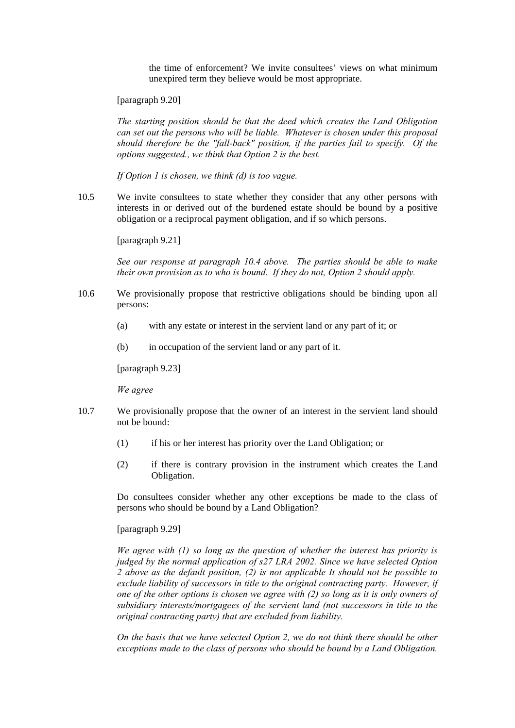the time of enforcement? We invite consultees' views on what minimum unexpired term they believe would be most appropriate.

[paragraph 9.20]

*The starting position should be that the deed which creates the Land Obligation can set out the persons who will be liable. Whatever is chosen under this proposal should therefore be the "fall-back" position, if the parties fail to specify. Of the options suggested., we think that Option 2 is the best.* 

*If Option 1 is chosen, we think (d) is too vague.* 

10.5 We invite consultees to state whether they consider that any other persons with interests in or derived out of the burdened estate should be bound by a positive obligation or a reciprocal payment obligation, and if so which persons.

[paragraph 9.21]

*See our response at paragraph 10.4 above. The parties should be able to make their own provision as to who is bound. If they do not, Option 2 should apply.* 

- 10.6 We provisionally propose that restrictive obligations should be binding upon all persons:
	- (a) with any estate or interest in the servient land or any part of it; or
	- (b) in occupation of the servient land or any part of it.

[paragraph 9.23]

*We agree* 

- 10.7 We provisionally propose that the owner of an interest in the servient land should not be bound:
	- (1) if his or her interest has priority over the Land Obligation; or
	- (2) if there is contrary provision in the instrument which creates the Land Obligation.

Do consultees consider whether any other exceptions be made to the class of persons who should be bound by a Land Obligation?

[paragraph 9.29]

*We agree with (1) so long as the question of whether the interest has priority is judged by the normal application of s27 LRA 2002. Since we have selected Option 2 above as the default position, (2) is not applicable It should not be possible to exclude liability of successors in title to the original contracting party. However, if one of the other options is chosen we agree with (2) so long as it is only owners of subsidiary interests/mortgagees of the servient land (not successors in title to the original contracting party) that are excluded from liability.* 

*On the basis that we have selected Option 2, we do not think there should be other exceptions made to the class of persons who should be bound by a Land Obligation.*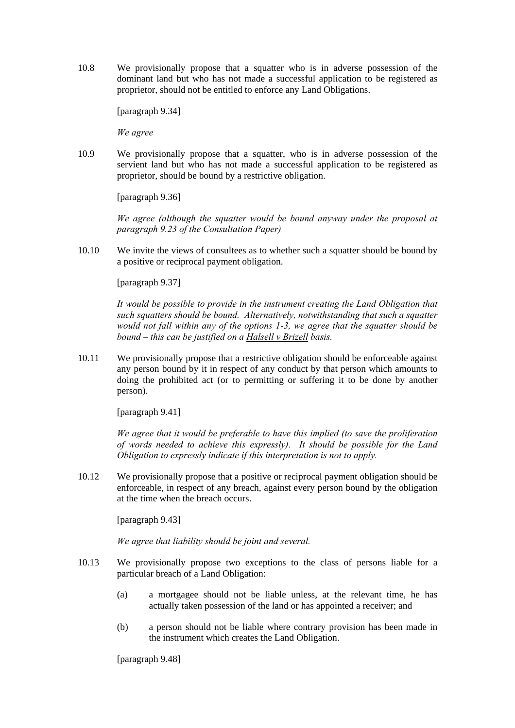10.8 We provisionally propose that a squatter who is in adverse possession of the dominant land but who has not made a successful application to be registered as proprietor, should not be entitled to enforce any Land Obligations.

[paragraph 9.34]

*We agree* 

10.9 We provisionally propose that a squatter, who is in adverse possession of the servient land but who has not made a successful application to be registered as proprietor, should be bound by a restrictive obligation.

[paragraph 9.36]

*We agree (although the squatter would be bound anyway under the proposal at paragraph 9.23 of the Consultation Paper)*

10.10 We invite the views of consultees as to whether such a squatter should be bound by a positive or reciprocal payment obligation.

[paragraph 9.37]

*It would be possible to provide in the instrument creating the Land Obligation that such squatters should be bound. Alternatively, notwithstanding that such a squatter would not fall within any of the options 1-3, we agree that the squatter should be bound – this can be justified on a Halsell v Brizell basis.* 

10.11 We provisionally propose that a restrictive obligation should be enforceable against any person bound by it in respect of any conduct by that person which amounts to doing the prohibited act (or to permitting or suffering it to be done by another person).

[paragraph 9.41]

*We agree that it would be preferable to have this implied (to save the proliferation of words needed to achieve this expressly). It should be possible for the Land Obligation to expressly indicate if this interpretation is not to apply.* 

10.12 We provisionally propose that a positive or reciprocal payment obligation should be enforceable, in respect of any breach, against every person bound by the obligation at the time when the breach occurs.

[paragraph 9.43]

*We agree that liability should be joint and several.* 

- 10.13 We provisionally propose two exceptions to the class of persons liable for a particular breach of a Land Obligation:
	- (a) a mortgagee should not be liable unless, at the relevant time, he has actually taken possession of the land or has appointed a receiver; and
	- (b) a person should not be liable where contrary provision has been made in the instrument which creates the Land Obligation.

[paragraph 9.48]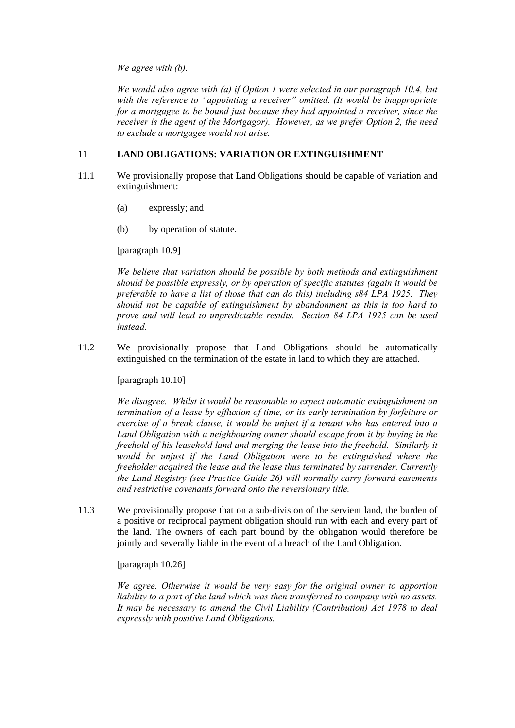*We agree with (b).* 

*We would also agree with (a) if Option 1 were selected in our paragraph 10.4, but with the reference to "appointing a receiver" omitted. (It would be inappropriate for a mortgagee to be bound just because they had appointed a receiver, since the receiver is the agent of the Mortgagor). However, as we prefer Option 2, the need to exclude a mortgagee would not arise.* 

# 11 **LAND OBLIGATIONS: VARIATION OR EXTINGUISHMENT**

- 11.1 We provisionally propose that Land Obligations should be capable of variation and extinguishment:
	- (a) expressly; and
	- (b) by operation of statute.

[paragraph 10.9]

*We believe that variation should be possible by both methods and extinguishment should be possible expressly, or by operation of specific statutes (again it would be preferable to have a list of those that can do this) including s84 LPA 1925. They should not be capable of extinguishment by abandonment as this is too hard to prove and will lead to unpredictable results. Section 84 LPA 1925 can be used instead.* 

11.2 We provisionally propose that Land Obligations should be automatically extinguished on the termination of the estate in land to which they are attached.

[paragraph 10.10]

*We disagree. Whilst it would be reasonable to expect automatic extinguishment on termination of a lease by effluxion of time, or its early termination by forfeiture or exercise of a break clause, it would be unjust if a tenant who has entered into a Land Obligation with a neighbouring owner should escape from it by buying in the freehold of his leasehold land and merging the lease into the freehold. Similarly it would be unjust if the Land Obligation were to be extinguished where the freeholder acquired the lease and the lease thus terminated by surrender. Currently the Land Registry (see Practice Guide 26) will normally carry forward easements and restrictive covenants forward onto the reversionary title.* 

11.3 We provisionally propose that on a sub-division of the servient land, the burden of a positive or reciprocal payment obligation should run with each and every part of the land. The owners of each part bound by the obligation would therefore be jointly and severally liable in the event of a breach of the Land Obligation.

[paragraph 10.26]

*We agree. Otherwise it would be very easy for the original owner to apportion liability to a part of the land which was then transferred to company with no assets. It may be necessary to amend the Civil Liability (Contribution) Act 1978 to deal expressly with positive Land Obligations.*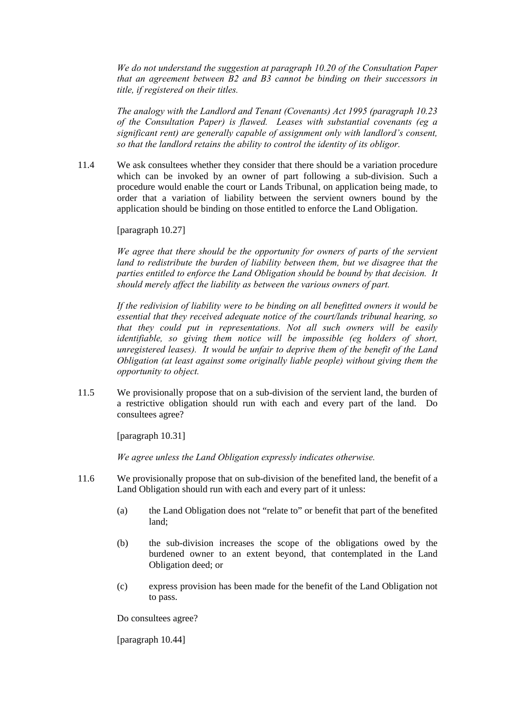*We do not understand the suggestion at paragraph 10.20 of the Consultation Paper that an agreement between B2 and B3 cannot be binding on their successors in title, if registered on their titles.* 

*The analogy with the Landlord and Tenant (Covenants) Act 1995 (paragraph 10.23 of the Consultation Paper) is flawed. Leases with substantial covenants (eg a significant rent) are generally capable of assignment only with landlord's consent, so that the landlord retains the ability to control the identity of its obligor.* 

11.4 We ask consultees whether they consider that there should be a variation procedure which can be invoked by an owner of part following a sub-division. Such a procedure would enable the court or Lands Tribunal, on application being made, to order that a variation of liability between the servient owners bound by the application should be binding on those entitled to enforce the Land Obligation.

[paragraph 10.27]

*We agree that there should be the opportunity for owners of parts of the servient*  land to redistribute the burden of liability between them, but we disagree that the *parties entitled to enforce the Land Obligation should be bound by that decision. It should merely affect the liability as between the various owners of part.* 

*If the redivision of liability were to be binding on all benefitted owners it would be essential that they received adequate notice of the court/lands tribunal hearing, so that they could put in representations. Not all such owners will be easily identifiable, so giving them notice will be impossible (eg holders of short, unregistered leases). It would be unfair to deprive them of the benefit of the Land Obligation (at least against some originally liable people) without giving them the opportunity to object.* 

11.5 We provisionally propose that on a sub-division of the servient land, the burden of a restrictive obligation should run with each and every part of the land. Do consultees agree?

[paragraph 10.31]

*We agree unless the Land Obligation expressly indicates otherwise.* 

- 11.6 We provisionally propose that on sub-division of the benefited land, the benefit of a Land Obligation should run with each and every part of it unless:
	- (a) the Land Obligation does not "relate to" or benefit that part of the benefited land;
	- (b) the sub-division increases the scope of the obligations owed by the burdened owner to an extent beyond, that contemplated in the Land Obligation deed; or
	- (c) express provision has been made for the benefit of the Land Obligation not to pass.

Do consultees agree?

[paragraph 10.44]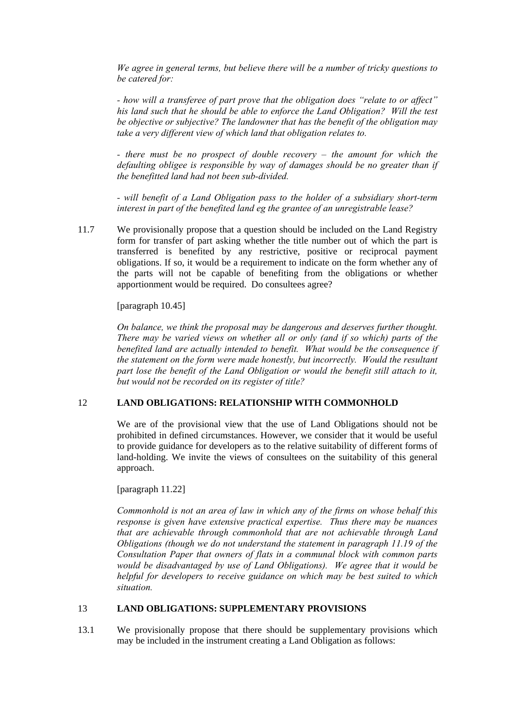*We agree in general terms, but believe there will be a number of tricky questions to be catered for:* 

*- how will a transferee of part prove that the obligation does "relate to or affect" his land such that he should be able to enforce the Land Obligation? Will the test be objective or subjective? The landowner that has the benefit of the obligation may take a very different view of which land that obligation relates to.* 

*- there must be no prospect of double recovery – the amount for which the defaulting obligee is responsible by way of damages should be no greater than if the benefitted land had not been sub-divided.* 

*- will benefit of a Land Obligation pass to the holder of a subsidiary short-term interest in part of the benefited land eg the grantee of an unregistrable lease?* 

11.7 We provisionally propose that a question should be included on the Land Registry form for transfer of part asking whether the title number out of which the part is transferred is benefited by any restrictive, positive or reciprocal payment obligations. If so, it would be a requirement to indicate on the form whether any of the parts will not be capable of benefiting from the obligations or whether apportionment would be required. Do consultees agree?

[paragraph 10.45]

*On balance, we think the proposal may be dangerous and deserves further thought. There may be varied views on whether all or only (and if so which) parts of the benefited land are actually intended to benefit. What would be the consequence if the statement on the form were made honestly, but incorrectly. Would the resultant part lose the benefit of the Land Obligation or would the benefit still attach to it, but would not be recorded on its register of title?* 

## 12 **LAND OBLIGATIONS: RELATIONSHIP WITH COMMONHOLD**

We are of the provisional view that the use of Land Obligations should not be prohibited in defined circumstances. However, we consider that it would be useful to provide guidance for developers as to the relative suitability of different forms of land-holding. We invite the views of consultees on the suitability of this general approach.

[paragraph 11.22]

*Commonhold is not an area of law in which any of the firms on whose behalf this response is given have extensive practical expertise. Thus there may be nuances that are achievable through commonhold that are not achievable through Land Obligations (though we do not understand the statement in paragraph 11.19 of the Consultation Paper that owners of flats in a communal block with common parts would be disadvantaged by use of Land Obligations). We agree that it would be helpful for developers to receive guidance on which may be best suited to which situation.* 

## 13 **LAND OBLIGATIONS: SUPPLEMENTARY PROVISIONS**

13.1 We provisionally propose that there should be supplementary provisions which may be included in the instrument creating a Land Obligation as follows: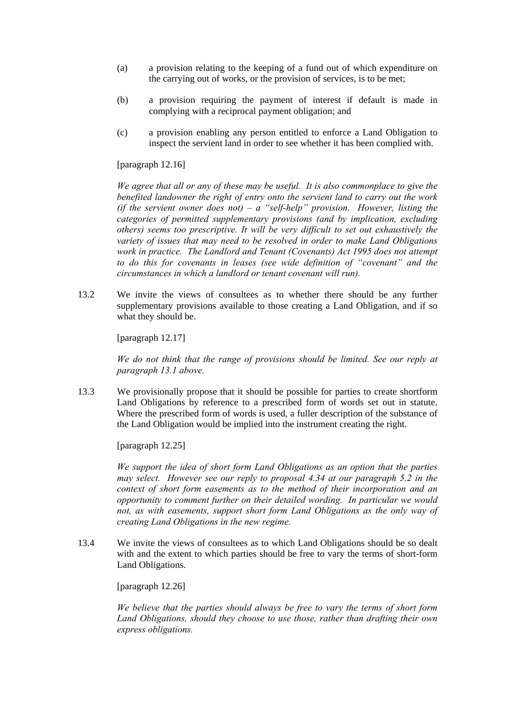- (a) a provision relating to the keeping of a fund out of which expenditure on the carrying out of works, or the provision of services, is to be met;
- (b) a provision requiring the payment of interest if default is made in complying with a reciprocal payment obligation; and
- (c) a provision enabling any person entitled to enforce a Land Obligation to inspect the servient land in order to see whether it has been complied with.

[paragraph 12.16]

*We agree that all or any of these may be useful. It is also commonplace to give the benefited landowner the right of entry onto the servient land to carry out the work (if the servient owner does not) – a "self-help" provision. However, listing the categories of permitted supplementary provisions (and by implication, excluding others) seems too prescriptive. It will be very difficult to set out exhaustively the variety of issues that may need to be resolved in order to make Land Obligations work in practice. The Landlord and Tenant (Covenants) Act 1995 does not attempt to do this for covenants in leases (see wide definition of "covenant" and the circumstances in which a landlord or tenant covenant will run).* 

13.2 We invite the views of consultees as to whether there should be any further supplementary provisions available to those creating a Land Obligation, and if so what they should be.

[paragraph 12.17]

*We do not think that the range of provisions should be limited. See our reply at paragraph 13.1 above.* 

13.3 We provisionally propose that it should be possible for parties to create shortform Land Obligations by reference to a prescribed form of words set out in statute. Where the prescribed form of words is used, a fuller description of the substance of the Land Obligation would be implied into the instrument creating the right.

[paragraph 12.25]

*We support the idea of short form Land Obligations as an option that the parties may select. However see our reply to proposal 4.34 at our paragraph 5.2 in the context of short form easements as to the method of their incorporation and an opportunity to comment further on their detailed wording. In particular we would not, as with easements, support short form Land Obligations as the only way of creating Land Obligations in the new regime.* 

13.4 We invite the views of consultees as to which Land Obligations should be so dealt with and the extent to which parties should be free to vary the terms of short-form Land Obligations.

[paragraph 12.26]

*We believe that the parties should always be free to vary the terms of short form Land Obligations, should they choose to use those, rather than drafting their own express obligations.*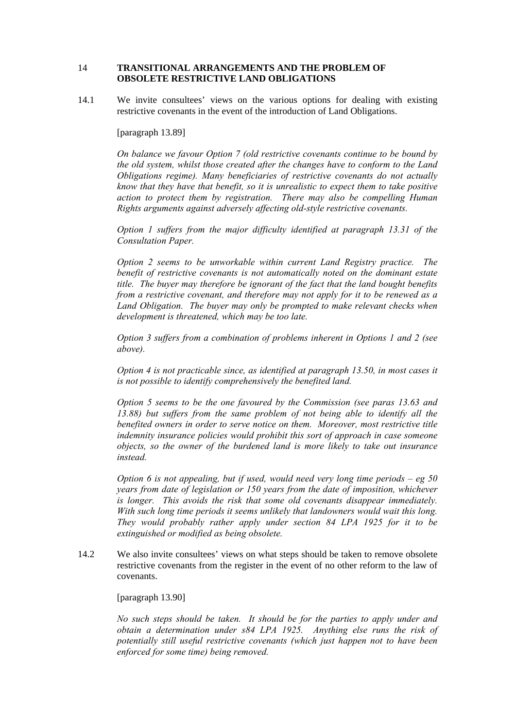## 14 **TRANSITIONAL ARRANGEMENTS AND THE PROBLEM OF OBSOLETE RESTRICTIVE LAND OBLIGATIONS**

14.1 We invite consultees' views on the various options for dealing with existing restrictive covenants in the event of the introduction of Land Obligations.

### [paragraph 13.89]

*On balance we favour Option 7 (old restrictive covenants continue to be bound by the old system, whilst those created after the changes have to conform to the Land Obligations regime). Many beneficiaries of restrictive covenants do not actually know that they have that benefit, so it is unrealistic to expect them to take positive action to protect them by registration. There may also be compelling Human Rights arguments against adversely affecting old-style restrictive covenants.* 

*Option 1 suffers from the major difficulty identified at paragraph 13.31 of the Consultation Paper.* 

*Option 2 seems to be unworkable within current Land Registry practice. The benefit of restrictive covenants is not automatically noted on the dominant estate title. The buyer may therefore be ignorant of the fact that the land bought benefits from a restrictive covenant, and therefore may not apply for it to be renewed as a Land Obligation. The buyer may only be prompted to make relevant checks when development is threatened, which may be too late.* 

*Option 3 suffers from a combination of problems inherent in Options 1 and 2 (see above).* 

*Option 4 is not practicable since, as identified at paragraph 13.50, in most cases it is not possible to identify comprehensively the benefited land.* 

*Option 5 seems to be the one favoured by the Commission (see paras 13.63 and 13.88) but suffers from the same problem of not being able to identify all the benefited owners in order to serve notice on them. Moreover, most restrictive title indemnity insurance policies would prohibit this sort of approach in case someone objects, so the owner of the burdened land is more likely to take out insurance instead.* 

*Option 6 is not appealing, but if used, would need very long time periods – eg 50 years from date of legislation or 150 years from the date of imposition, whichever is longer. This avoids the risk that some old covenants disappear immediately. With such long time periods it seems unlikely that landowners would wait this long. They would probably rather apply under section 84 LPA 1925 for it to be extinguished or modified as being obsolete.* 

14.2 We also invite consultees' views on what steps should be taken to remove obsolete restrictive covenants from the register in the event of no other reform to the law of covenants.

### [paragraph 13.90]

*No such steps should be taken. It should be for the parties to apply under and obtain a determination under s84 LPA 1925. Anything else runs the risk of potentially still useful restrictive covenants (which just happen not to have been enforced for some time) being removed.*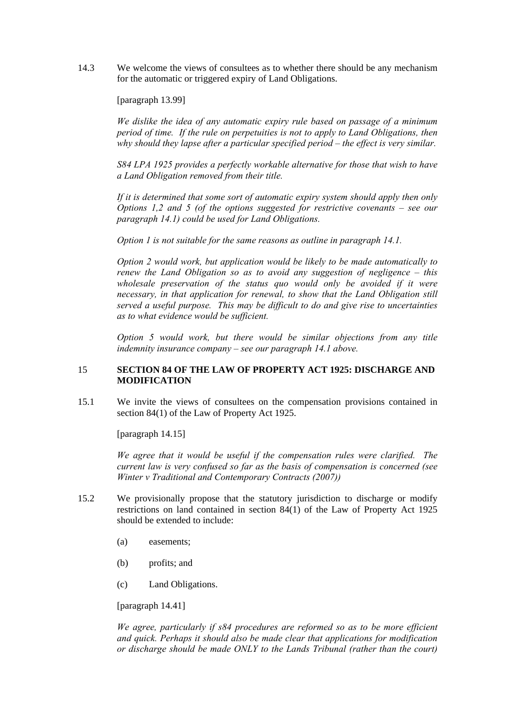14.3 We welcome the views of consultees as to whether there should be any mechanism for the automatic or triggered expiry of Land Obligations.

[paragraph 13.99]

*We dislike the idea of any automatic expiry rule based on passage of a minimum period of time. If the rule on perpetuities is not to apply to Land Obligations, then why should they lapse after a particular specified period – the effect is very similar.* 

*S84 LPA 1925 provides a perfectly workable alternative for those that wish to have a Land Obligation removed from their title.* 

*If it is determined that some sort of automatic expiry system should apply then only Options 1,2 and 5 (of the options suggested for restrictive covenants – see our paragraph 14.1) could be used for Land Obligations.* 

*Option 1 is not suitable for the same reasons as outline in paragraph 14.1.* 

*Option 2 would work, but application would be likely to be made automatically to renew the Land Obligation so as to avoid any suggestion of negligence – this wholesale preservation of the status quo would only be avoided if it were necessary, in that application for renewal, to show that the Land Obligation still served a useful purpose. This may be difficult to do and give rise to uncertainties as to what evidence would be sufficient.* 

*Option 5 would work, but there would be similar objections from any title indemnity insurance company – see our paragraph 14.1 above.* 

### 15 **SECTION 84 OF THE LAW OF PROPERTY ACT 1925: DISCHARGE AND MODIFICATION**

15.1 We invite the views of consultees on the compensation provisions contained in section 84(1) of the Law of Property Act 1925.

[paragraph 14.15]

*We agree that it would be useful if the compensation rules were clarified. The current law is very confused so far as the basis of compensation is concerned (see Winter v Traditional and Contemporary Contracts (2007))* 

- 15.2 We provisionally propose that the statutory jurisdiction to discharge or modify restrictions on land contained in section 84(1) of the Law of Property Act 1925 should be extended to include:
	- (a) easements;
	- (b) profits; and
	- (c) Land Obligations.

[paragraph 14.41]

*We agree, particularly if s84 procedures are reformed so as to be more efficient and quick. Perhaps it should also be made clear that applications for modification or discharge should be made ONLY to the Lands Tribunal (rather than the court)*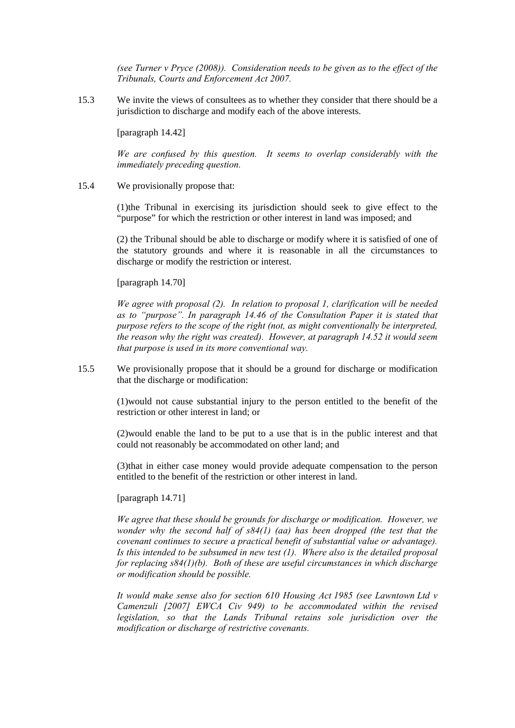*(see Turner v Pryce (2008)). Consideration needs to be given as to the effect of the Tribunals, Courts and Enforcement Act 2007.* 

15.3 We invite the views of consultees as to whether they consider that there should be a jurisdiction to discharge and modify each of the above interests.

[paragraph 14.42]

*We are confused by this question. It seems to overlap considerably with the immediately preceding question.* 

15.4 We provisionally propose that:

(1)the Tribunal in exercising its jurisdiction should seek to give effect to the "purpose" for which the restriction or other interest in land was imposed; and

(2) the Tribunal should be able to discharge or modify where it is satisfied of one of the statutory grounds and where it is reasonable in all the circumstances to discharge or modify the restriction or interest.

[paragraph 14.70]

*We agree with proposal (2). In relation to proposal 1, clarification will be needed as to "purpose". In paragraph 14.46 of the Consultation Paper it is stated that purpose refers to the scope of the right (not, as might conventionally be interpreted, the reason why the right was created). However, at paragraph 14.52 it would seem that purpose is used in its more conventional way.* 

15.5 We provisionally propose that it should be a ground for discharge or modification that the discharge or modification:

> (1)would not cause substantial injury to the person entitled to the benefit of the restriction or other interest in land; or

> (2)would enable the land to be put to a use that is in the public interest and that could not reasonably be accommodated on other land; and

> (3)that in either case money would provide adequate compensation to the person entitled to the benefit of the restriction or other interest in land.

### [paragraph 14.71]

*We agree that these should be grounds for discharge or modification. However, we wonder why the second half of s84(1) (aa) has been dropped (the test that the covenant continues to secure a practical benefit of substantial value or advantage). Is this intended to be subsumed in new test (1). Where also is the detailed proposal for replacing s84(1)(b). Both of these are useful circumstances in which discharge or modification should be possible.* 

*It would make sense also for section 610 Housing Act 1985 (see Lawntown Ltd v Camenzuli [2007] EWCA Civ 949) to be accommodated within the revised legislation, so that the Lands Tribunal retains sole jurisdiction over the modification or discharge of restrictive covenants.*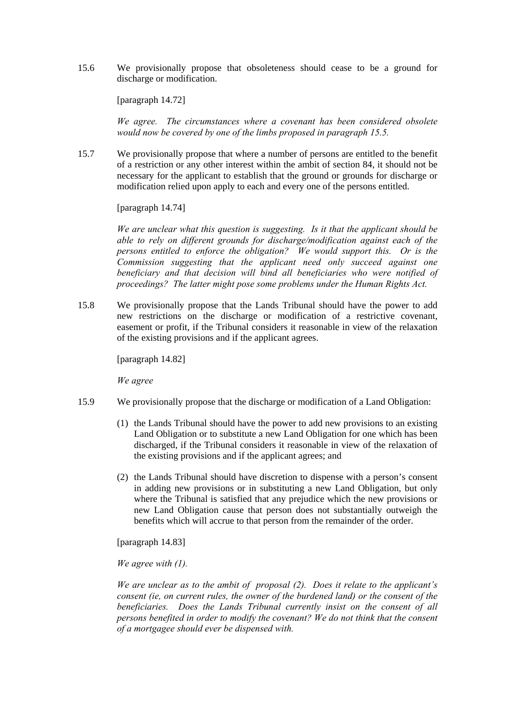15.6 We provisionally propose that obsoleteness should cease to be a ground for discharge or modification.

[paragraph 14.72]

*We agree. The circumstances where a covenant has been considered obsolete would now be covered by one of the limbs proposed in paragraph 15.5.*

15.7 We provisionally propose that where a number of persons are entitled to the benefit of a restriction or any other interest within the ambit of section 84, it should not be necessary for the applicant to establish that the ground or grounds for discharge or modification relied upon apply to each and every one of the persons entitled.

[paragraph 14.74]

*We are unclear what this question is suggesting. Is it that the applicant should be able to rely on different grounds for discharge/modification against each of the persons entitled to enforce the obligation? We would support this. Or is the Commission suggesting that the applicant need only succeed against one beneficiary and that decision will bind all beneficiaries who were notified of proceedings? The latter might pose some problems under the Human Rights Act.* 

15.8 We provisionally propose that the Lands Tribunal should have the power to add new restrictions on the discharge or modification of a restrictive covenant, easement or profit, if the Tribunal considers it reasonable in view of the relaxation of the existing provisions and if the applicant agrees.

[paragraph 14.82]

*We agree* 

- 15.9 We provisionally propose that the discharge or modification of a Land Obligation:
	- (1) the Lands Tribunal should have the power to add new provisions to an existing Land Obligation or to substitute a new Land Obligation for one which has been discharged, if the Tribunal considers it reasonable in view of the relaxation of the existing provisions and if the applicant agrees; and
	- (2) the Lands Tribunal should have discretion to dispense with a person's consent in adding new provisions or in substituting a new Land Obligation, but only where the Tribunal is satisfied that any prejudice which the new provisions or new Land Obligation cause that person does not substantially outweigh the benefits which will accrue to that person from the remainder of the order.

[paragraph 14.83]

*We agree with (1).* 

*We are unclear as to the ambit of proposal (2). Does it relate to the applicant's consent (ie, on current rules, the owner of the burdened land) or the consent of the beneficiaries. Does the Lands Tribunal currently insist on the consent of all persons benefited in order to modify the covenant? We do not think that the consent of a mortgagee should ever be dispensed with.*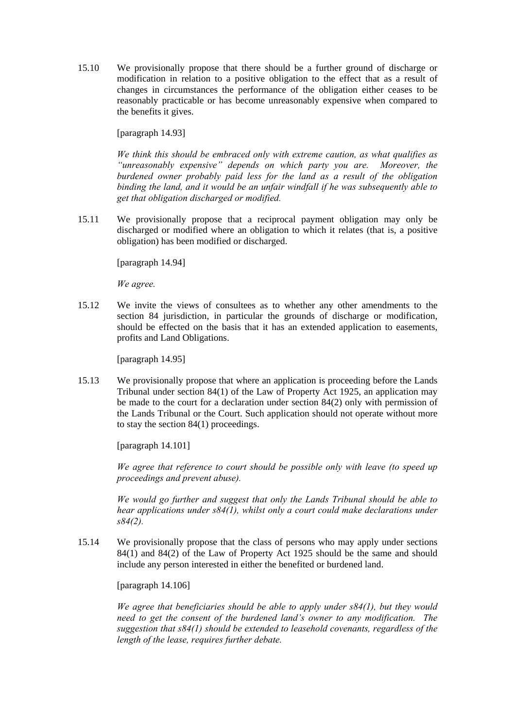15.10 We provisionally propose that there should be a further ground of discharge or modification in relation to a positive obligation to the effect that as a result of changes in circumstances the performance of the obligation either ceases to be reasonably practicable or has become unreasonably expensive when compared to the benefits it gives.

[paragraph 14.93]

*We think this should be embraced only with extreme caution, as what qualifies as "unreasonably expensive" depends on which party you are. Moreover, the burdened owner probably paid less for the land as a result of the obligation binding the land, and it would be an unfair windfall if he was subsequently able to get that obligation discharged or modified.* 

15.11 We provisionally propose that a reciprocal payment obligation may only be discharged or modified where an obligation to which it relates (that is, a positive obligation) has been modified or discharged.

[paragraph 14.94]

*We agree.* 

15.12 We invite the views of consultees as to whether any other amendments to the section 84 jurisdiction, in particular the grounds of discharge or modification, should be effected on the basis that it has an extended application to easements, profits and Land Obligations.

[paragraph 14.95]

15.13 We provisionally propose that where an application is proceeding before the Lands Tribunal under section 84(1) of the Law of Property Act 1925, an application may be made to the court for a declaration under section 84(2) only with permission of the Lands Tribunal or the Court. Such application should not operate without more to stay the section 84(1) proceedings.

[paragraph 14.101]

*We agree that reference to court should be possible only with leave (to speed up proceedings and prevent abuse).* 

*We would go further and suggest that only the Lands Tribunal should be able to hear applications under s84(1), whilst only a court could make declarations under s84(2).* 

15.14 We provisionally propose that the class of persons who may apply under sections 84(1) and 84(2) of the Law of Property Act 1925 should be the same and should include any person interested in either the benefited or burdened land.

[paragraph 14.106]

*We agree that beneficiaries should be able to apply under s84(1), but they would need to get the consent of the burdened land's owner to any modification. The suggestion that s84(1) should be extended to leasehold covenants, regardless of the length of the lease, requires further debate.*